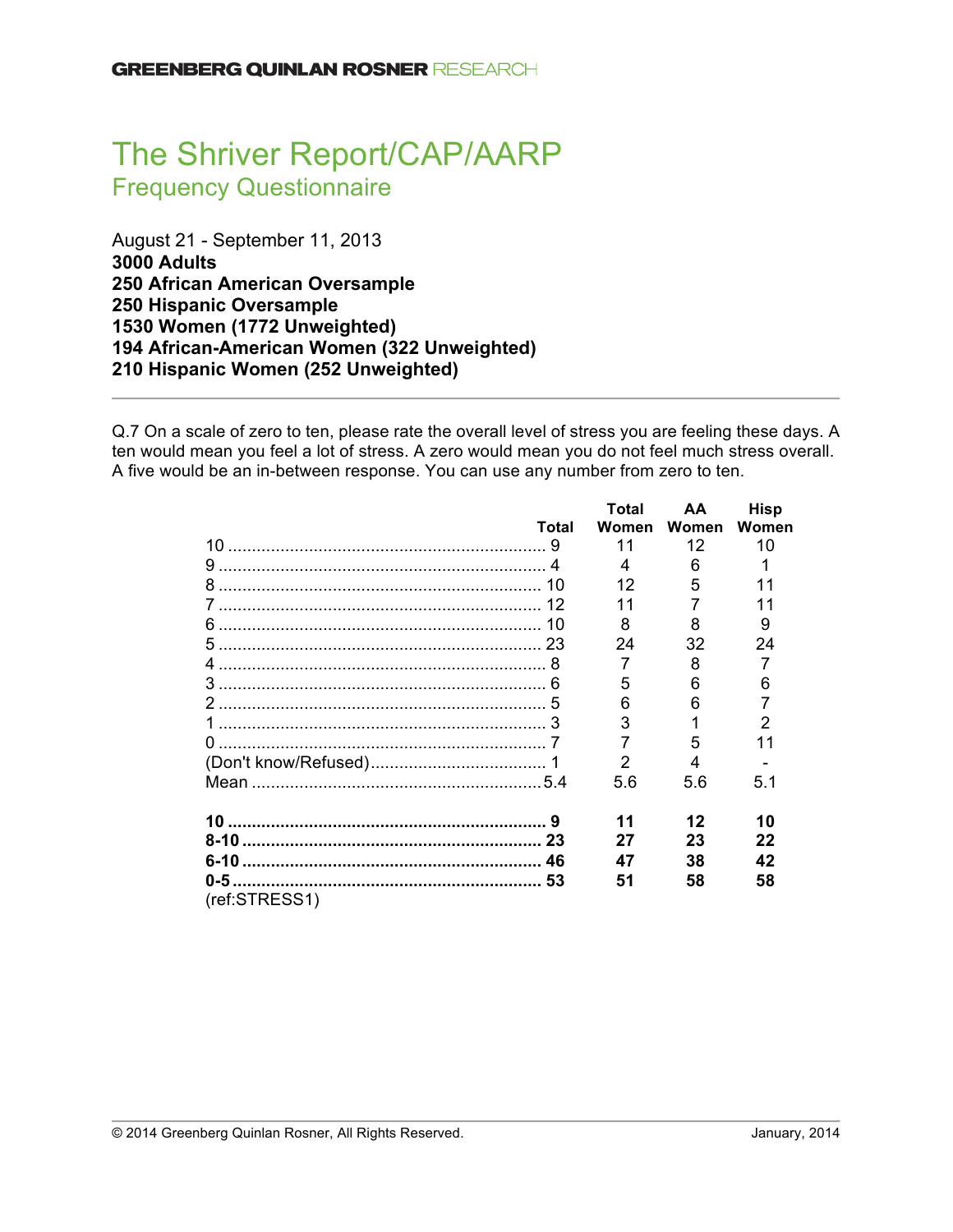# The Shriver Report/CAP/AARP Frequency Questionnaire

August 21 - September 11, 2013 **3000 Adults 250 African American Oversample 250 Hispanic Oversample 1530 Women (1772 Unweighted) 194 African-American Women (322 Unweighted) 210 Hispanic Women (252 Unweighted)**

Q.7 On a scale of zero to ten, please rate the overall level of stress you are feeling these days. A ten would mean you feel a lot of stress. A zero would mean you do not feel much stress overall. A five would be an in-between response. You can use any number from zero to ten.

|               |       | Total         | AA    | <b>Hisp</b> |
|---------------|-------|---------------|-------|-------------|
|               | Total | Women         | Women | Women       |
|               |       | 11            | 12    | 10          |
|               |       |               | 6     |             |
|               |       | 12            | 5     |             |
|               |       |               |       | 11          |
|               |       | 8             | 8     | 9           |
|               |       | 24            | 32    | 24          |
|               |       | 7             | 8     |             |
|               |       | 5             | 6     | 6           |
|               |       | 6             | 6     |             |
|               |       | 3             |       | 2           |
|               |       |               | 5     |             |
|               |       | $\mathcal{P}$ |       |             |
|               |       | 5.6           | 5.6   | 5.1         |
|               |       | 11            | 12    | 10          |
|               |       | 27            | 23    | 22          |
|               |       | 47            | 38    | 42          |
| (ref:STRESS1) |       | 51            | 58    | 58          |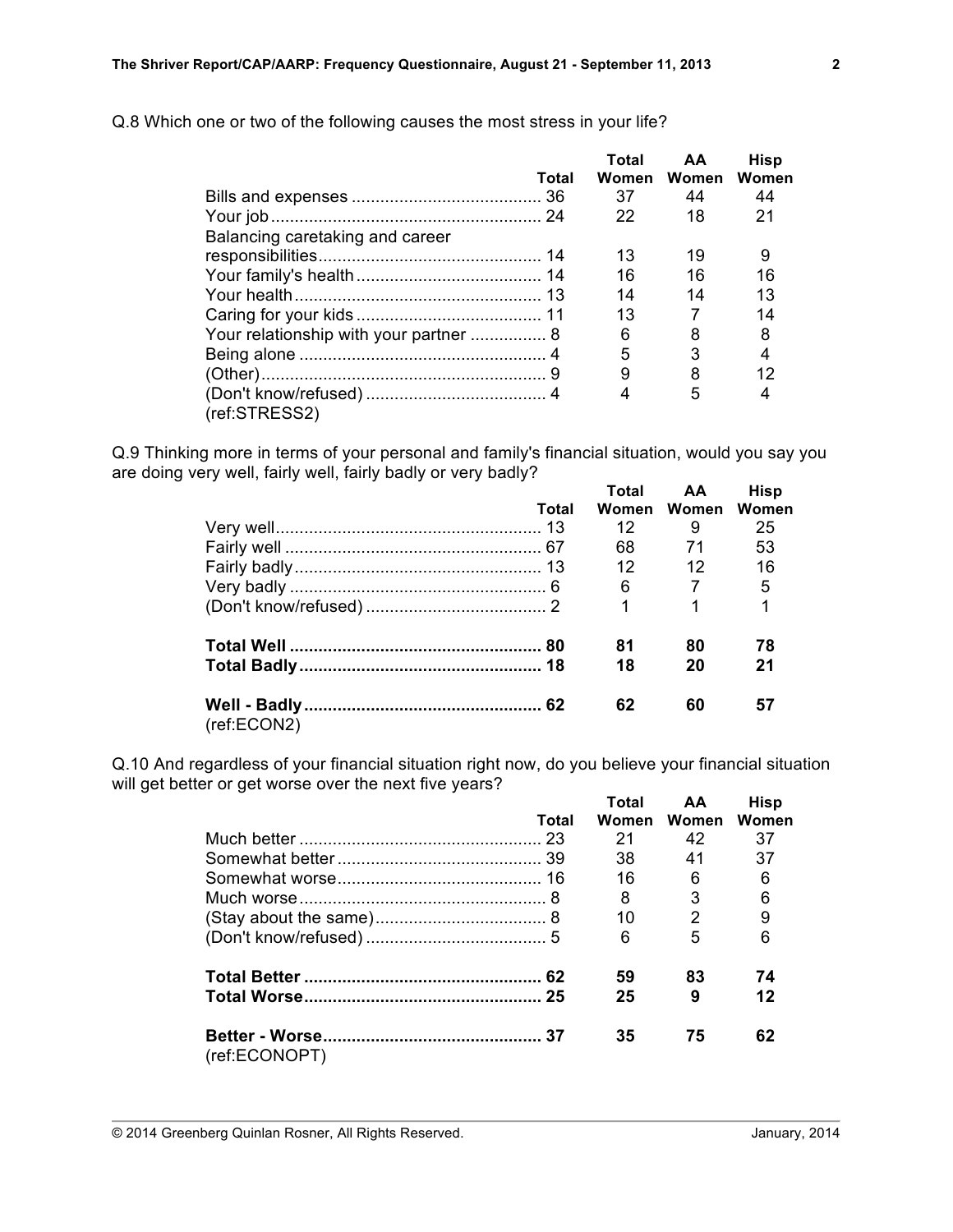|                                 | Total | Total | AA<br>Women Women | <b>Hisp</b><br>Women |
|---------------------------------|-------|-------|-------------------|----------------------|
|                                 |       | 37    | 44                | 44                   |
|                                 |       |       |                   |                      |
|                                 |       | 22    | 18                | 21                   |
| Balancing caretaking and career |       |       |                   |                      |
|                                 |       | 13    | 19                | 9                    |
|                                 |       | 16    | 16                | 16                   |
|                                 |       | 14    | 14                | 13                   |
|                                 |       | 13    |                   | 14                   |
|                                 |       | 6     | 8                 | 8                    |
|                                 |       | 5     | 3                 |                      |
|                                 |       | 9     | 8                 | 12                   |
|                                 |       |       | 5                 |                      |
| (ref:STRESS2)                   |       |       |                   |                      |

Q.8 Which one or two of the following causes the most stress in your life?

Q.9 Thinking more in terms of your personal and family's financial situation, would you say you are doing very well, fairly well, fairly badly or very badly? **Total AA Hisp**

|             |       | i otal          | AА.               | <b>HISD</b> |
|-------------|-------|-----------------|-------------------|-------------|
|             | Total |                 | Women Women Women |             |
|             |       | 12              | 9                 | 25          |
|             |       | 68              | 71                | 53          |
|             |       | 12 <sup>°</sup> | $\overline{12}$   | 16          |
|             |       |                 | 6 7               | - 5         |
|             |       |                 | $\overline{1}$    | 1           |
|             |       | 81              | 80                | 78          |
|             |       | 18              | 20                | 21          |
| (ref:ECON2) |       | 62              | 60                | 57          |

Q.10 And regardless of your financial situation right now, do you believe your financial situation will get better or get worse over the next five years? **Total AA Hisp**

|               |       | тотат | AА             | <b>HISD</b> |
|---------------|-------|-------|----------------|-------------|
|               | Total | Women | Women          | Women       |
|               |       | 21    | 42             | 37          |
|               |       | 38    | 41             | 37          |
|               |       | 16    | 6              | 6           |
|               |       | 8     | 3              | 6           |
|               |       | 10    | $\overline{2}$ | 9           |
|               |       | 6     | 5              | 6           |
|               |       | 59    | 83             | 74          |
|               |       | 25    | 9              | 12          |
| (ref:ECONOPT) |       | 35    | 75             | 62          |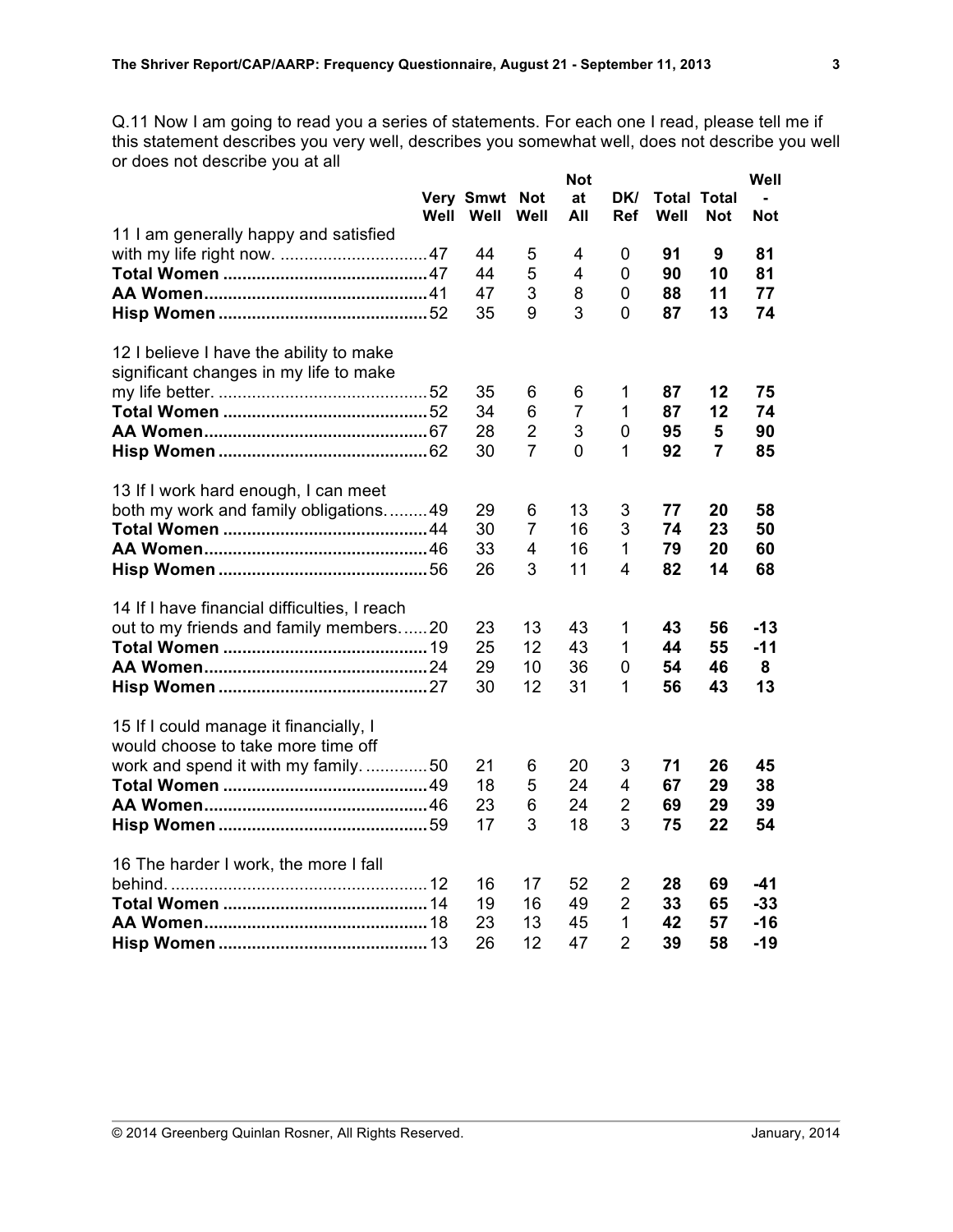Q.11 Now I am going to read you a series of statements. For each one I read, please tell me if this statement describes you very well, describes you somewhat well, does not describe you well or does not describe you at all

|                                                                                   | Well | Very Smwt<br>Well | <b>Not</b><br>Well | <b>Not</b><br>at<br>All | DK/<br>Ref                     | Well | <b>Total Total</b><br><b>Not</b> | Well<br><b>Not</b> |
|-----------------------------------------------------------------------------------|------|-------------------|--------------------|-------------------------|--------------------------------|------|----------------------------------|--------------------|
| 11 I am generally happy and satisfied                                             |      | 44                | 5                  | 4                       | 0                              | 91   | 9                                | 81                 |
|                                                                                   |      | 44                | 5                  | $\overline{4}$          | 0                              | 90   | 10                               | 81                 |
|                                                                                   |      | 47                | 3                  | 8                       | 0                              | 88   | 11                               | 77                 |
|                                                                                   |      | 35                | 9                  | 3                       | 0                              | 87   | 13                               | 74                 |
| 12 I believe I have the ability to make<br>significant changes in my life to make |      |                   |                    |                         |                                |      |                                  |                    |
|                                                                                   |      | 35                | 6                  | 6                       | 1                              | 87   | 12                               | 75                 |
|                                                                                   |      | 34                | 6                  | $\overline{7}$          | 1                              | 87   | 12                               | 74                 |
|                                                                                   |      | 28                | $\overline{2}$     | 3                       | 0                              | 95   | 5                                | 90                 |
|                                                                                   |      | 30                | $\overline{7}$     | 0                       | 1                              | 92   | $\overline{7}$                   | 85                 |
| 13 If I work hard enough, I can meet                                              |      |                   |                    |                         |                                |      |                                  |                    |
| both my work and family obligations49                                             |      | 29                | 6                  | 13                      | 3                              | 77   | 20                               | 58                 |
|                                                                                   |      | 30                | 7                  | 16                      | 3                              | 74   | 23                               | 50                 |
|                                                                                   |      | 33                | 4<br>3             | 16                      | $\mathbf{1}$<br>$\overline{4}$ | 79   | 20                               | 60                 |
|                                                                                   |      | 26                |                    | 11                      |                                | 82   | 14                               | 68                 |
| 14 If I have financial difficulties, I reach                                      |      |                   |                    |                         |                                |      |                                  |                    |
| out to my friends and family members20                                            |      | 23                | 13                 | 43                      | 1                              | 43   | 56                               | $-13$              |
|                                                                                   |      | 25                | 12                 | 43                      | 1                              | 44   | 55                               | $-11$              |
|                                                                                   |      | 29                | 10                 | 36                      | 0                              | 54   | 46                               | 8                  |
|                                                                                   |      | 30                | 12                 | 31                      | 1                              | 56   | 43                               | 13                 |
| 15 If I could manage it financially, I<br>would choose to take more time off      |      |                   |                    |                         |                                |      |                                  |                    |
| work and spend it with my family50                                                |      | 21                | 6                  | 20                      | 3                              | 71   | 26                               | 45                 |
|                                                                                   |      | 18                | 5                  | 24                      | $\overline{4}$                 | 67   | 29                               | 38                 |
|                                                                                   |      | 23                | 6                  | 24                      | $\overline{2}$                 | 69   | 29                               | 39                 |
|                                                                                   |      | 17                | 3                  | 18                      | 3                              | 75   | 22                               | 54                 |
| 16 The harder I work, the more I fall                                             |      |                   |                    |                         |                                |      |                                  |                    |
|                                                                                   |      | 16                | 17                 | 52                      | $\overline{2}$                 | 28   | 69                               | $-41$              |
|                                                                                   |      | 19                | 16                 | 49                      | $\overline{2}$                 | 33   | 65                               | $-33$              |
|                                                                                   |      | 23                | 13                 | 45                      | $\mathbf{1}$                   | 42   | 57                               | $-16$              |
|                                                                                   |      | 26                | 12                 | 47                      | $\overline{2}$                 | 39   | 58                               | $-19$              |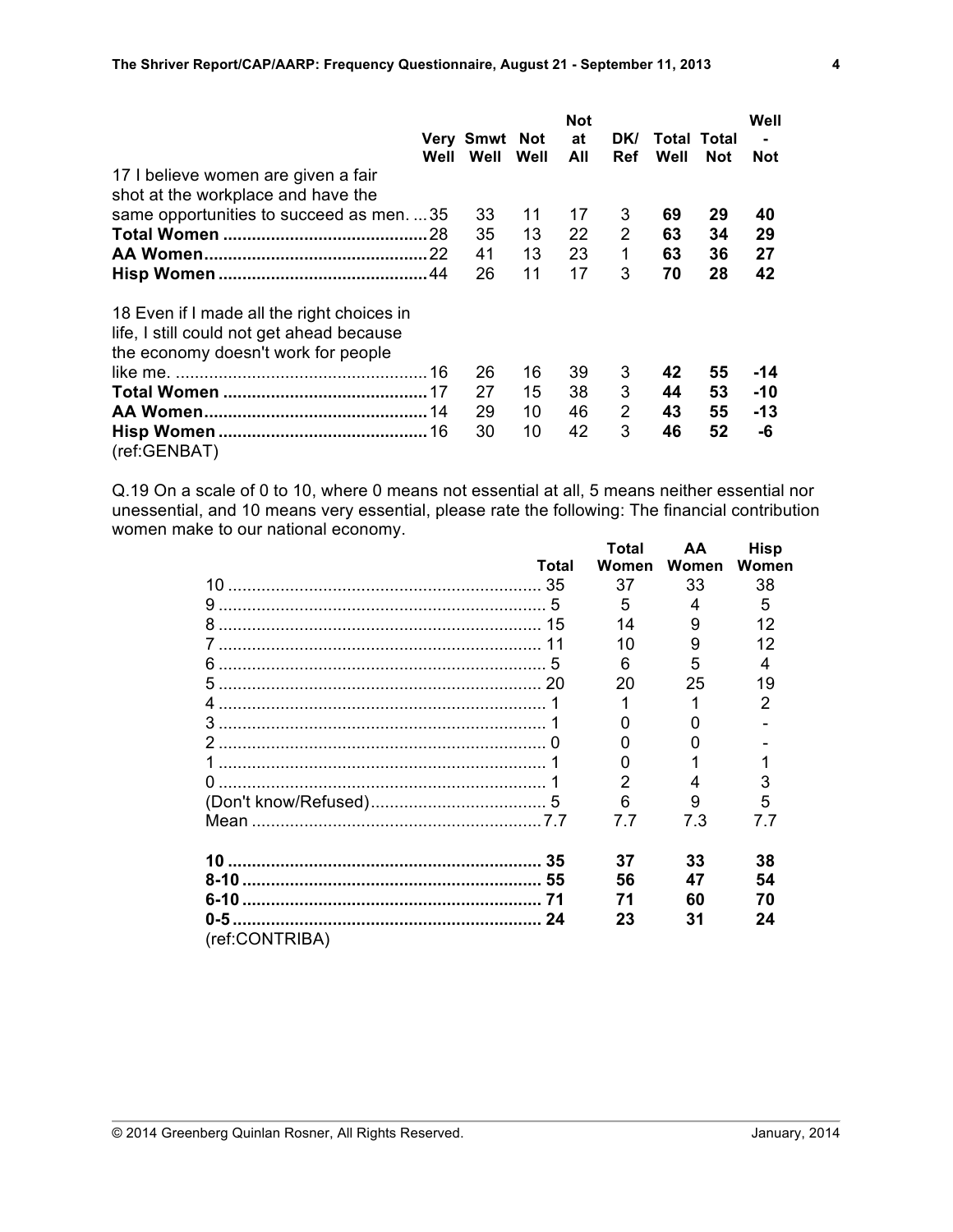|                                            |                      |      | <b>Not</b> |            |             |            | Well       |
|--------------------------------------------|----------------------|------|------------|------------|-------------|------------|------------|
|                                            | <b>Very Smwt Not</b> |      | at         | DK/        | Total Total |            |            |
|                                            | Well Well            | Well | All        | <b>Ref</b> | Well        | <b>Not</b> | <b>Not</b> |
| 17 I believe women are given a fair        |                      |      |            |            |             |            |            |
| shot at the workplace and have the         |                      |      |            |            |             |            |            |
| same opportunities to succeed as men. 35   | 33                   | 11   | 17         | 3          | 69          | 29         | 40         |
|                                            | 35                   | 13   | 22         | 2          | 63          | 34         | 29         |
|                                            | 41                   | 13   | 23         | 1          | 63          | 36         | 27         |
|                                            | 26                   | 11   | 17         | 3          | 70          | 28         | 42         |
| 18 Even if I made all the right choices in |                      |      |            |            |             |            |            |
| life, I still could not get ahead because  |                      |      |            |            |             |            |            |
| the economy doesn't work for people        |                      |      |            |            |             |            |            |
|                                            | 26                   | 16   | 39         | 3          | 42          | 55         | -14        |
|                                            | 27                   | 15   | 38         | 3          | 44          | 53         | -10        |
|                                            | 29                   | 10   | 46         | 2          | 43          | 55         | -13        |
|                                            | 30                   | 10   | 42         | 3          | 46          | 52         | -6         |
| (ref:GENBAT)                               |                      |      |            |            |             |            |            |

Q.19 On a scale of 0 to 10, where 0 means not essential at all, 5 means neither essential nor unessential, and 10 means very essential, please rate the following: The financial contribution women make to our national economy. **Total AA Hisp**

|                |       | i Oldi | АA    | піэр  |
|----------------|-------|--------|-------|-------|
|                | Total | Women  | Women | Women |
|                |       | 37     | 33    | 38    |
|                |       | 5      | 4     | 5     |
|                |       | 14     | 9     | 12    |
|                |       | 10     | 9     | 12    |
|                |       | 6      | 5     | 4     |
|                |       | 20     | 25    | 19    |
|                |       |        | 1     | 2     |
|                |       |        |       |       |
|                |       |        |       |       |
|                |       |        |       |       |
|                |       |        | 4     | 3     |
|                |       | 6      | 9     | 5     |
|                |       | 77     | 7.3   | 7.7   |
|                |       | 37     | 33    | 38    |
|                |       | 56     | 47    | 54    |
|                |       | 71     | 60    | 70    |
|                |       | 23     | 31    | 24    |
| (ref:CONTRIBA) |       |        |       |       |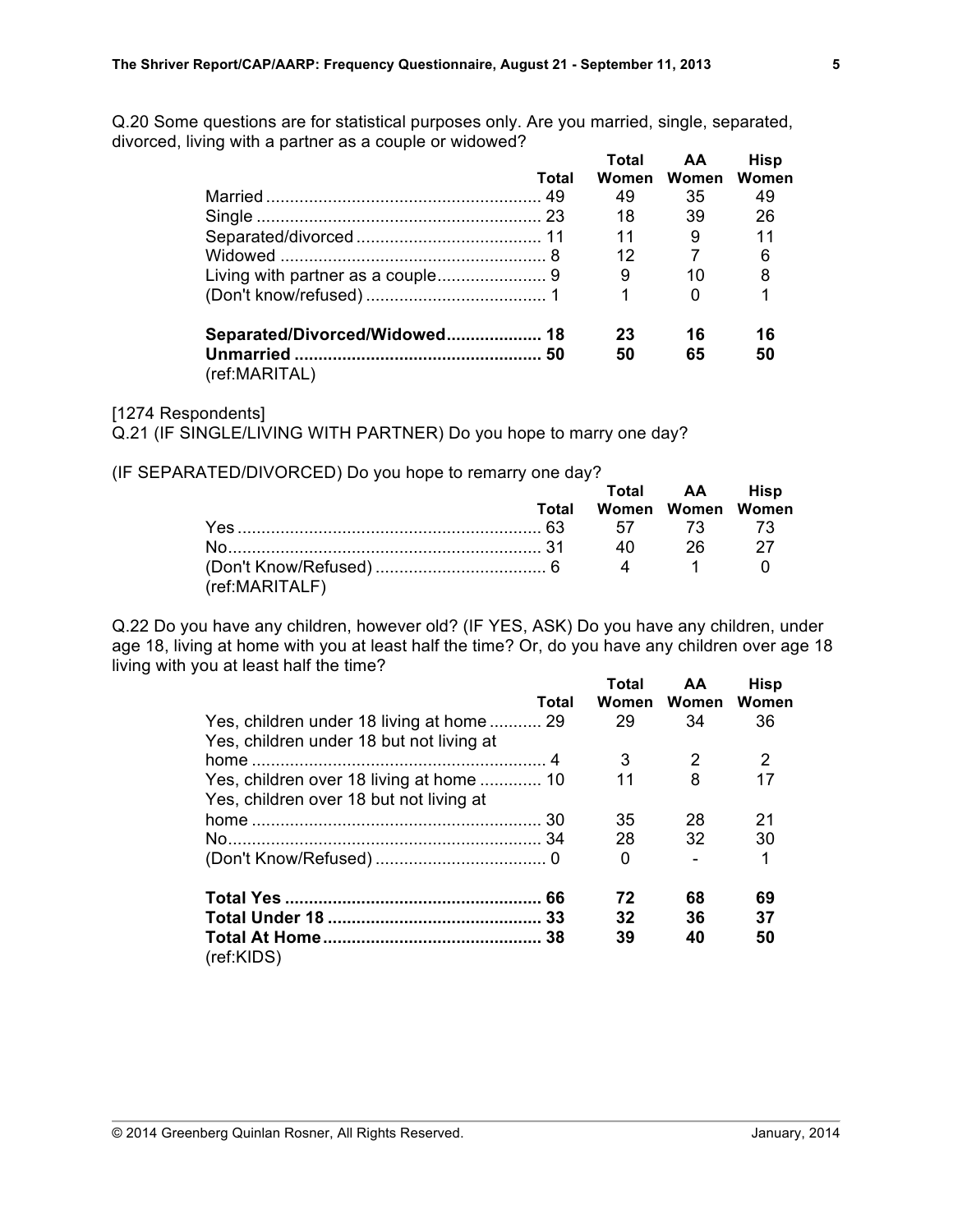Q.20 Some questions are for statistical purposes only. Are you married, single, separated, divorced, living with a partner as a couple or widowed? **Total AA Hisp**

|               |       | Total | AA          | Hisp  |
|---------------|-------|-------|-------------|-------|
|               | Total |       | Women Women | Women |
|               |       | 49    | 35          | 49    |
|               |       | 18    | 39          | 26    |
|               |       | 11    | 9           | 11    |
|               |       | 12    | 7           | 6     |
|               |       | - 9   | 10          | 8     |
|               |       |       | 0           |       |
|               |       | 23    | 16          | 16    |
|               |       | 50    | 65          | 50    |
| (ref:MARITAL) |       |       |             |       |

#### [1274 Respondents]

Q.21 (IF SINGLE/LIVING WITH PARTNER) Do you hope to marry one day?

(IF SEPARATED/DIVORCED) Do you hope to remarry one day?

|                |       | Total AA Hisp     |  |
|----------------|-------|-------------------|--|
|                | Total | Women Women Women |  |
|                |       |                   |  |
|                |       | 40 26             |  |
| (ref:MARITALF) |       |                   |  |

Q.22 Do you have any children, however old? (IF YES, ASK) Do you have any children, under age 18, living at home with you at least half the time? Or, do you have any children over age 18 living with you at least half the time? **Total AA Hisp**

|                                           | Total | i otal<br>Women | AА<br>Women | <b>HISD</b><br>Women |
|-------------------------------------------|-------|-----------------|-------------|----------------------|
| Yes, children under 18 living at home  29 |       | 29              | 34          | 36                   |
| Yes, children under 18 but not living at  |       |                 |             |                      |
|                                           |       | 3               | 2           | 2                    |
| Yes, children over 18 living at home  10  |       | 11              | 8           | 17                   |
| Yes, children over 18 but not living at   |       |                 |             |                      |
|                                           |       | 35              | 28          | 21                   |
|                                           |       | 28              | 32          | 30                   |
|                                           |       | 0               |             | 1                    |
|                                           |       | 72              | 68          | 69                   |
|                                           |       | 32              | 36          | 37                   |
| (ref:KIDS)                                |       | 39              | 40          | 50                   |
|                                           |       |                 |             |                      |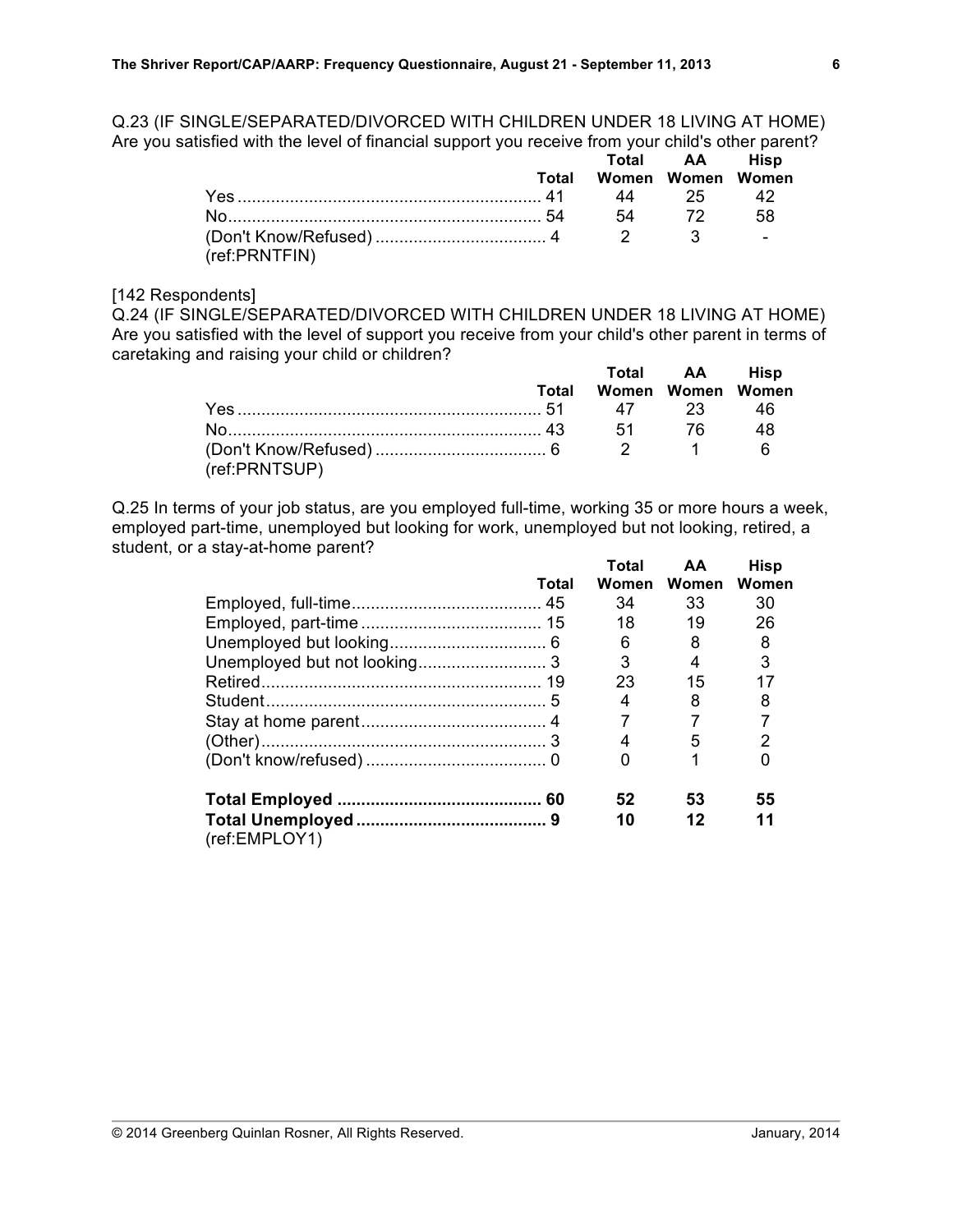Q.23 (IF SINGLE/SEPARATED/DIVORCED WITH CHILDREN UNDER 18 LIVING AT HOME) Are you satisfied with the level of financial support you receive from your child's other parent?

|               |       |                   | Total AA Hisp |     |
|---------------|-------|-------------------|---------------|-----|
|               | Total | Women Women Women |               |     |
| Yes 25 42     |       |                   |               |     |
|               |       |                   | 54 72         | .58 |
| (ref:PRNTFIN) |       |                   |               |     |

## [142 Respondents]

Q.24 (IF SINGLE/SEPARATED/DIVORCED WITH CHILDREN UNDER 18 LIVING AT HOME) Are you satisfied with the level of support you receive from your child's other parent in terms of caretaking and raising your child or children? **Total AA Hisp**

|               |                         | Total AA Hisp |    |
|---------------|-------------------------|---------------|----|
|               | Total Women Women Women |               |    |
|               |                         |               |    |
|               |                         |               | 48 |
|               |                         |               |    |
| (ref:PRNTSUP) |                         |               |    |

Q.25 In terms of your job status, are you employed full-time, working 35 or more hours a week, employed part-time, unemployed but looking for work, unemployed but not looking, retired, a student, or a stay-at-home parent? **Total AA Hisp**

|       | i otal | AА    | <b>HISD</b> |
|-------|--------|-------|-------------|
| Total | Women  | Women | Women       |
|       | 34     | 33    | 30          |
|       | 18     | 19    | 26          |
|       | 6      | 8     | 8           |
|       | 3      | 4     | 3           |
|       | 23     | 15    |             |
|       | 4      | 8     | 8           |
|       |        |       |             |
|       | 4      | 5     | 2           |
|       |        |       |             |
|       | 52     | 53    | 55          |
|       | 10     | 12    | 11          |
|       |        |       |             |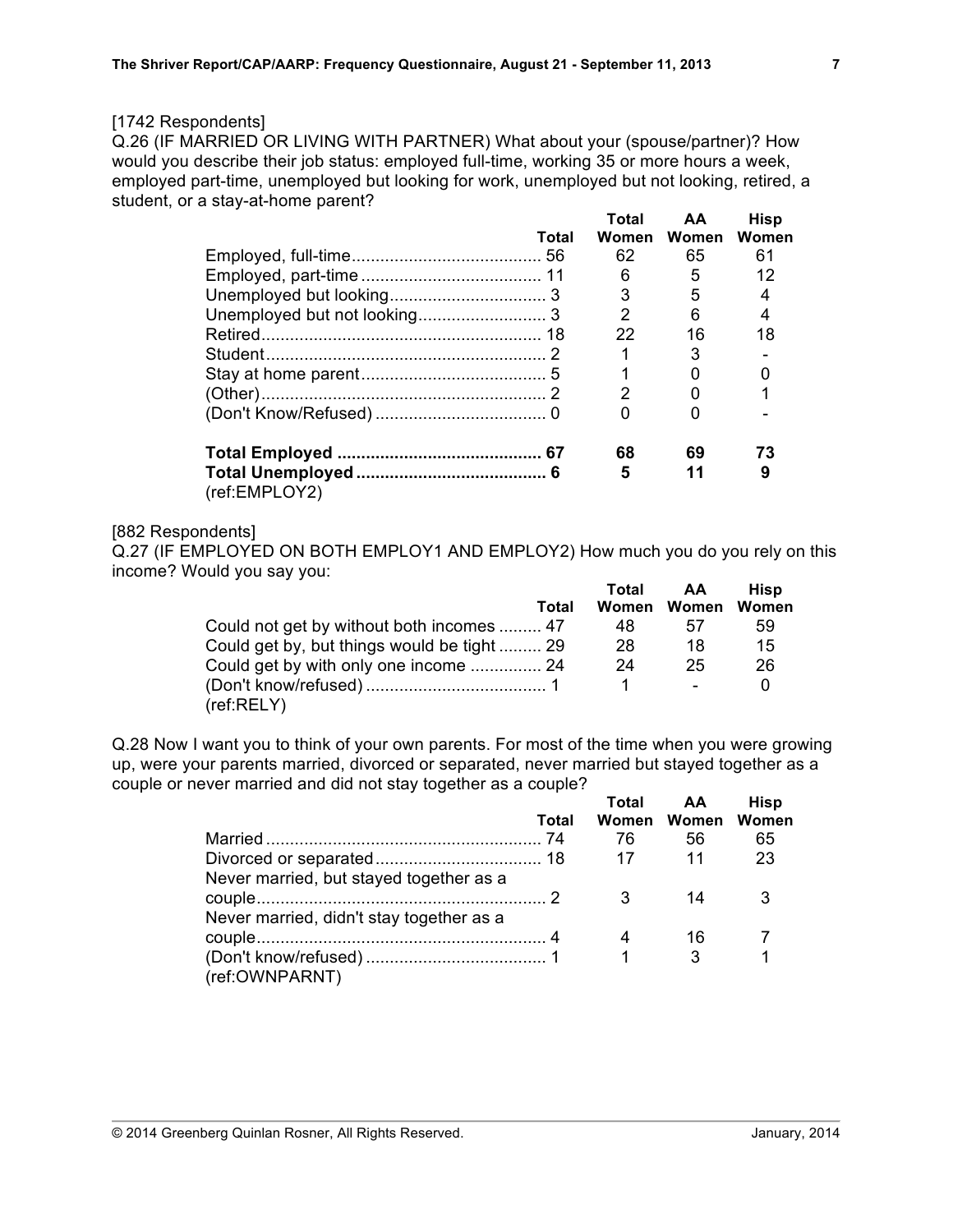## [1742 Respondents]

Q.26 (IF MARRIED OR LIVING WITH PARTNER) What about your (spouse/partner)? How would you describe their job status: employed full-time, working 35 or more hours a week, employed part-time, unemployed but looking for work, unemployed but not looking, retired, a student, or a stay-at-home parent? **Total AA Hisp**

|               |       | i olai | АA          | <b>HISP</b> |
|---------------|-------|--------|-------------|-------------|
|               | Total |        | Women Women | Women       |
|               |       | 62     | 65          | 61          |
|               |       | 6      | 5           | 12          |
|               |       | 3      | 5           |             |
|               |       | 2      | 6           |             |
|               |       | 22     | 16          | 18          |
|               |       |        | 3           |             |
|               |       |        | 0           |             |
|               |       | 2      | 0           |             |
|               |       |        |             |             |
|               |       | 68     | 69          | 73          |
| (ref:EMPLOY2) |       | 5      | 11          | 9           |

## [882 Respondents]

Q.27 (IF EMPLOYED ON BOTH EMPLOY1 AND EMPLOY2) How much you do you rely on this income? Would you say you:

|                                            | Total | AA.         | Hisp  |
|--------------------------------------------|-------|-------------|-------|
| Total                                      |       | Women Women | Women |
| Could not get by without both incomes  47  | 48    | 57          | 59    |
| Could get by, but things would be tight 29 | 28    | 18          | 15    |
| Could get by with only one income  24      | 24    | 25          | 26    |
|                                            |       | $\sim$      |       |
| (ref:RELY)                                 |       |             |       |

Q.28 Now I want you to think of your own parents. For most of the time when you were growing up, were your parents married, divorced or separated, never married but stayed together as a couple or never married and did not stay together as a couple?

|                                          |       | Total        | <b>AA</b>         | <b>Hisp</b> |
|------------------------------------------|-------|--------------|-------------------|-------------|
|                                          | Total |              | Women Women Women |             |
|                                          |       | 76           | 56                | 65          |
|                                          |       | -17          | $\overline{11}$   | 23          |
| Never married, but stayed together as a  |       |              |                   |             |
|                                          |       | $\mathbf{3}$ | 14                |             |
| Never married, didn't stay together as a |       |              |                   |             |
|                                          |       |              | -16               |             |
|                                          |       |              |                   |             |
| (ref:OWNPARNT)                           |       |              |                   |             |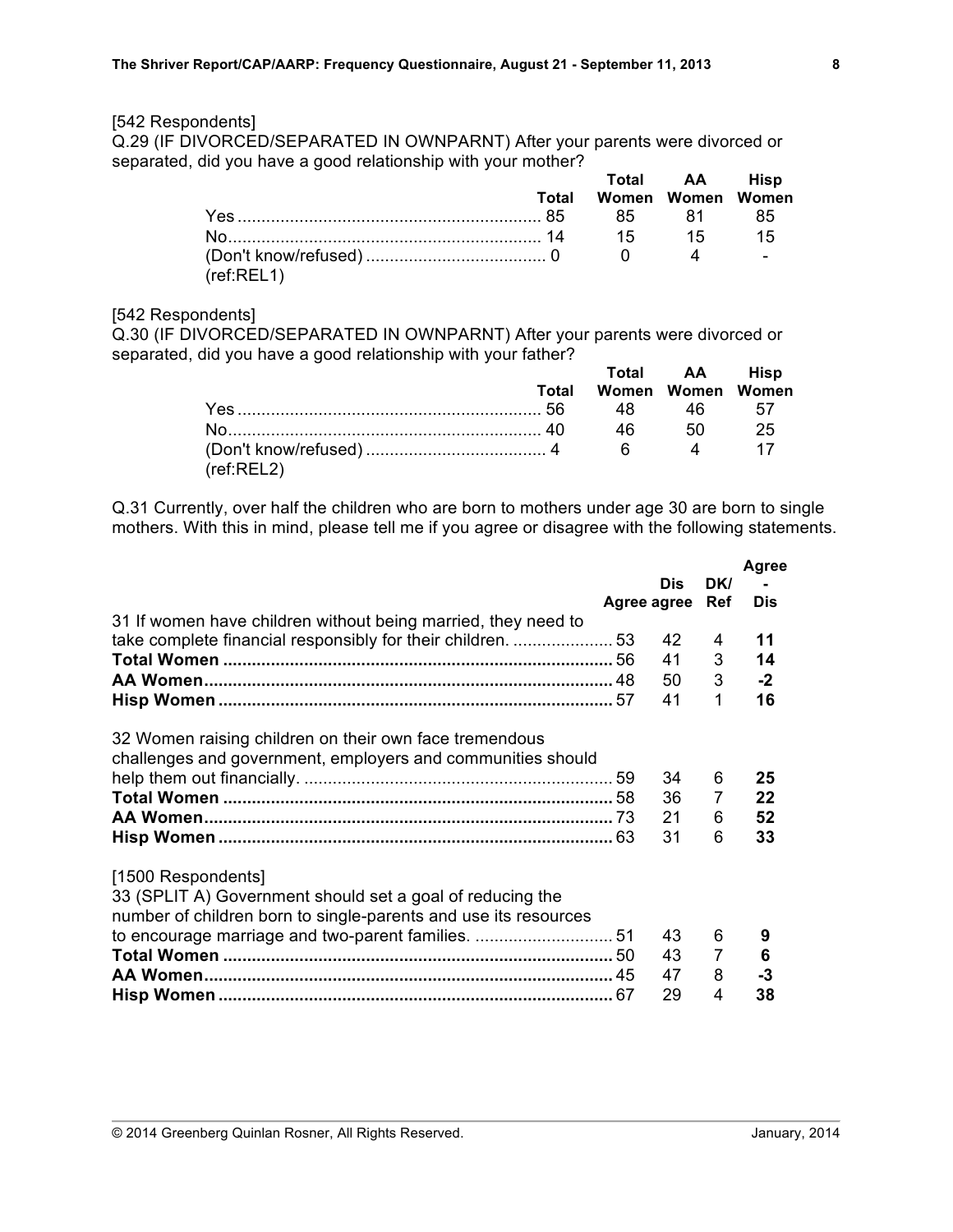## [542 Respondents]

Q.29 (IF DIVORCED/SEPARATED IN OWNPARNT) After your parents were divorced or separated, did you have a good relationship with your mother? **Total AA Hisp**

|            | Total Women Women Women |      |
|------------|-------------------------|------|
|            |                         | - 85 |
|            |                         | 15   |
| (ref:REL1) |                         |      |

#### [542 Respondents]

Q.30 (IF DIVORCED/SEPARATED IN OWNPARNT) After your parents were divorced or separated, did you have a good relationship with your father?

|            |       |                   | Total AA Hisp |                 |
|------------|-------|-------------------|---------------|-----------------|
|            | Total | Women Women Women |               |                 |
|            |       |                   |               |                 |
|            |       |                   | 50            | - 25            |
| (ref:REL2) |       |                   |               | $\overline{17}$ |

Q.31 Currently, over half the children who are born to mothers under age 30 are born to single mothers. With this in mind, please tell me if you agree or disagree with the following statements.

|                                                                 |             |            |                | <b>Agree</b> |
|-----------------------------------------------------------------|-------------|------------|----------------|--------------|
|                                                                 |             | <b>Dis</b> | DK/            |              |
|                                                                 | Agree agree |            | Ref            | <b>Dis</b>   |
| 31 If women have children without being married, they need to   |             |            |                |              |
|                                                                 |             | 42         | 4              | 11           |
|                                                                 |             | 41         | 3              | 14           |
|                                                                 |             | 50         | 3              | $-2$         |
|                                                                 |             | 41         | 1              | 16           |
|                                                                 |             |            |                |              |
| 32 Women raising children on their own face tremendous          |             |            |                |              |
| challenges and government, employers and communities should     |             |            |                |              |
|                                                                 |             | 34         | 6              | 25           |
|                                                                 |             | 36         | 7              | 22           |
|                                                                 |             | 21         | 6              | 52           |
|                                                                 |             | 31         | 6              | 33           |
|                                                                 |             |            |                |              |
|                                                                 |             |            |                |              |
| [1500 Respondents]                                              |             |            |                |              |
| 33 (SPLIT A) Government should set a goal of reducing the       |             |            |                |              |
| number of children born to single-parents and use its resources |             |            |                |              |
|                                                                 |             | 43         | 6              | 9            |
|                                                                 |             | 43         | $\overline{7}$ | 6            |
|                                                                 |             | 47         | 8              | -3           |
|                                                                 |             | 29         | 4              | 38           |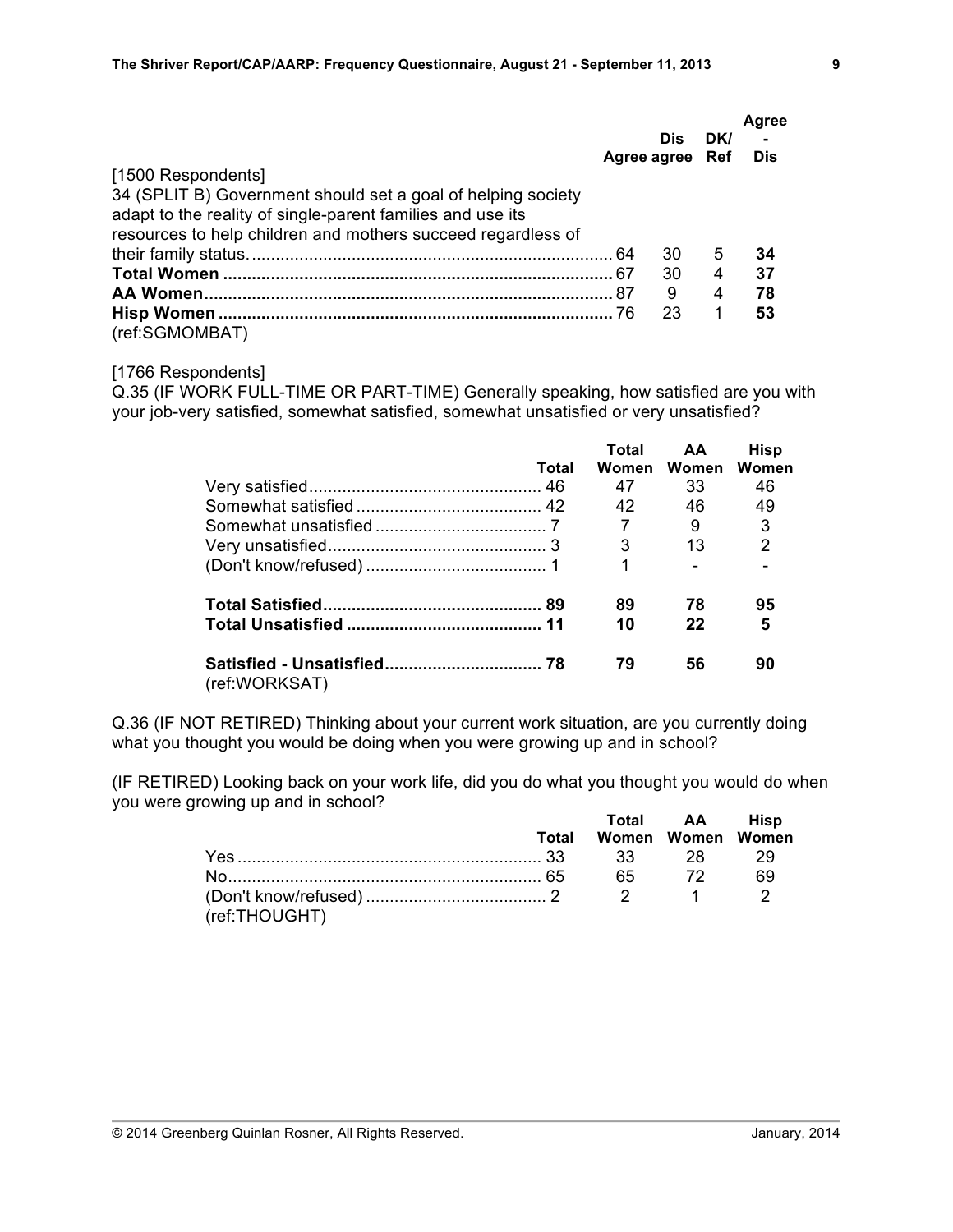|                                                              |    | Dis<br>Agree agree Ref | DK/ | Agree<br>Dis |
|--------------------------------------------------------------|----|------------------------|-----|--------------|
| [1500 Respondents]                                           |    |                        |     |              |
| 34 (SPLIT B) Government should set a goal of helping society |    |                        |     |              |
| adapt to the reality of single-parent families and use its   |    |                        |     |              |
| resources to help children and mothers succeed regardless of |    |                        |     |              |
|                                                              |    | 30                     | 5   | 34           |
|                                                              |    | 30                     | 4   | 37           |
|                                                              | 87 | 9                      | 4   | 78           |
|                                                              |    | 23                     |     | 53           |
| (ref:SGMOMBAT)                                               |    |                        |     |              |

#### [1766 Respondents]

Q.35 (IF WORK FULL-TIME OR PART-TIME) Generally speaking, how satisfied are you with your job-very satisfied, somewhat satisfied, somewhat unsatisfied or very unsatisfied?

|               |       | Total | AA    | <b>Hisp</b> |
|---------------|-------|-------|-------|-------------|
|               | Total | Women | Women | Women       |
|               |       | 47    | 33    | 46          |
|               |       | 42    | 46    | 49          |
|               |       | 7     | 9     | 3           |
|               |       | 3     | 13    | 2           |
|               |       |       |       |             |
|               |       | 89    | 78    | 95          |
|               |       | 10    | 22    | 5           |
| (ref:WORKSAT) |       | 79    | 56    | 90          |

Q.36 (IF NOT RETIRED) Thinking about your current work situation, are you currently doing what you thought you would be doing when you were growing up and in school?

(IF RETIRED) Looking back on your work life, did you do what you thought you would do when you were growing up and in school? **Total AA Hisp**

|               |                         | TOTAI AA HISD |      |
|---------------|-------------------------|---------------|------|
|               | Total Women Women Women |               |      |
|               |                         |               |      |
|               |                         |               | - 69 |
| (ref:THOUGHT) |                         |               |      |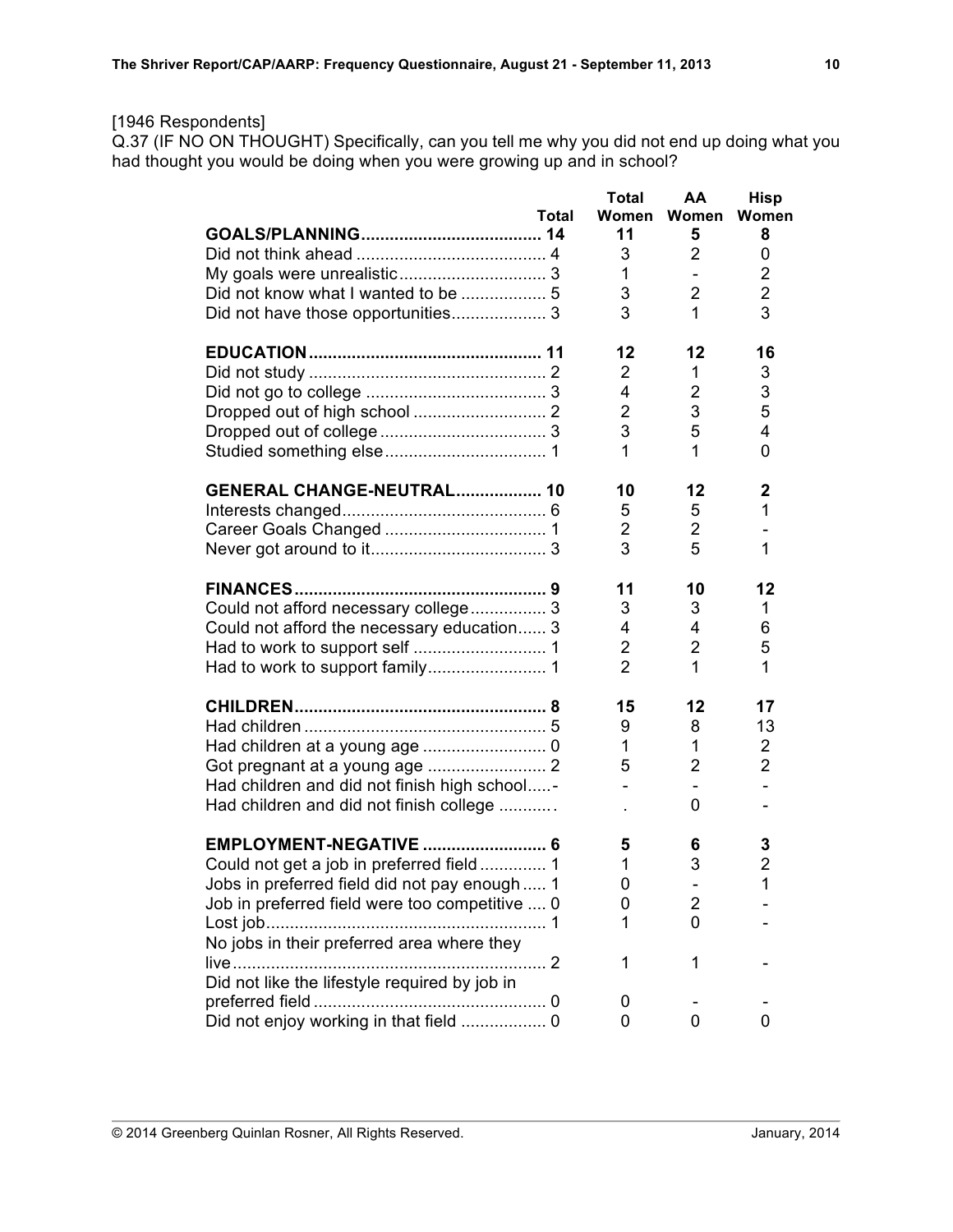## [1946 Respondents]

Q.37 (IF NO ON THOUGHT) Specifically, can you tell me why you did not end up doing what you had thought you would be doing when you were growing up and in school?

|                                                | <b>Total</b>   | AΑ             | <b>Hisp</b>    |
|------------------------------------------------|----------------|----------------|----------------|
| Total                                          | Women          | Women          | Women          |
|                                                | 11             | 5              | 8              |
|                                                | 3              | 2              | 0              |
|                                                | 1              |                | 2              |
|                                                | 3              | $\overline{2}$ | $\overline{2}$ |
| Did not have those opportunities 3             | 3              | 1              | 3              |
|                                                | 12             | 12             | 16             |
|                                                | $\overline{2}$ | 1.             | 3              |
|                                                | 4              | 2              | 3              |
|                                                | $\overline{2}$ | 3              | 5              |
|                                                | 3              | 5              | 4              |
|                                                | 1              | 1              | 0              |
| GENERAL CHANGE-NEUTRAL 10                      | 10             | 12             | $\mathbf{2}$   |
|                                                | 5              | 5              | 1              |
|                                                | $\overline{2}$ | 2              |                |
|                                                | 3              | 5              | 1              |
|                                                | 11             | 10             | 12             |
| Could not afford necessary college 3           | 3              | 3              | 1              |
| Could not afford the necessary education 3     | 4              | 4              | 6              |
|                                                | $\overline{2}$ | 2              | 5              |
|                                                | $\overline{2}$ | 1              | 1              |
|                                                | 15             | 12             | 17             |
|                                                | 9              | 8              | 13             |
|                                                | 1              | 1              | 2              |
|                                                | 5              | $\overline{2}$ | $\overline{2}$ |
| Had children and did not finish high school-   | $\overline{a}$ |                | ÷.             |
| Had children and did not finish college        |                | 0              |                |
| <b>EMPLOYMENT-NEGATIVE  6</b>                  | 5              | 6              | 3              |
| Could not get a job in preferred field  1      | 1              | 3              | $\overline{2}$ |
| Jobs in preferred field did not pay enough  1  | 0              |                | 1              |
| Job in preferred field were too competitive  0 | 0              | 2              |                |
|                                                | 1              | 0              |                |
| No jobs in their preferred area where they     |                |                |                |
|                                                | 1              | 1              |                |
| Did not like the lifestyle required by job in  |                |                |                |
|                                                | 0              |                |                |
| Did not enjoy working in that field  0         | 0              | 0              | 0              |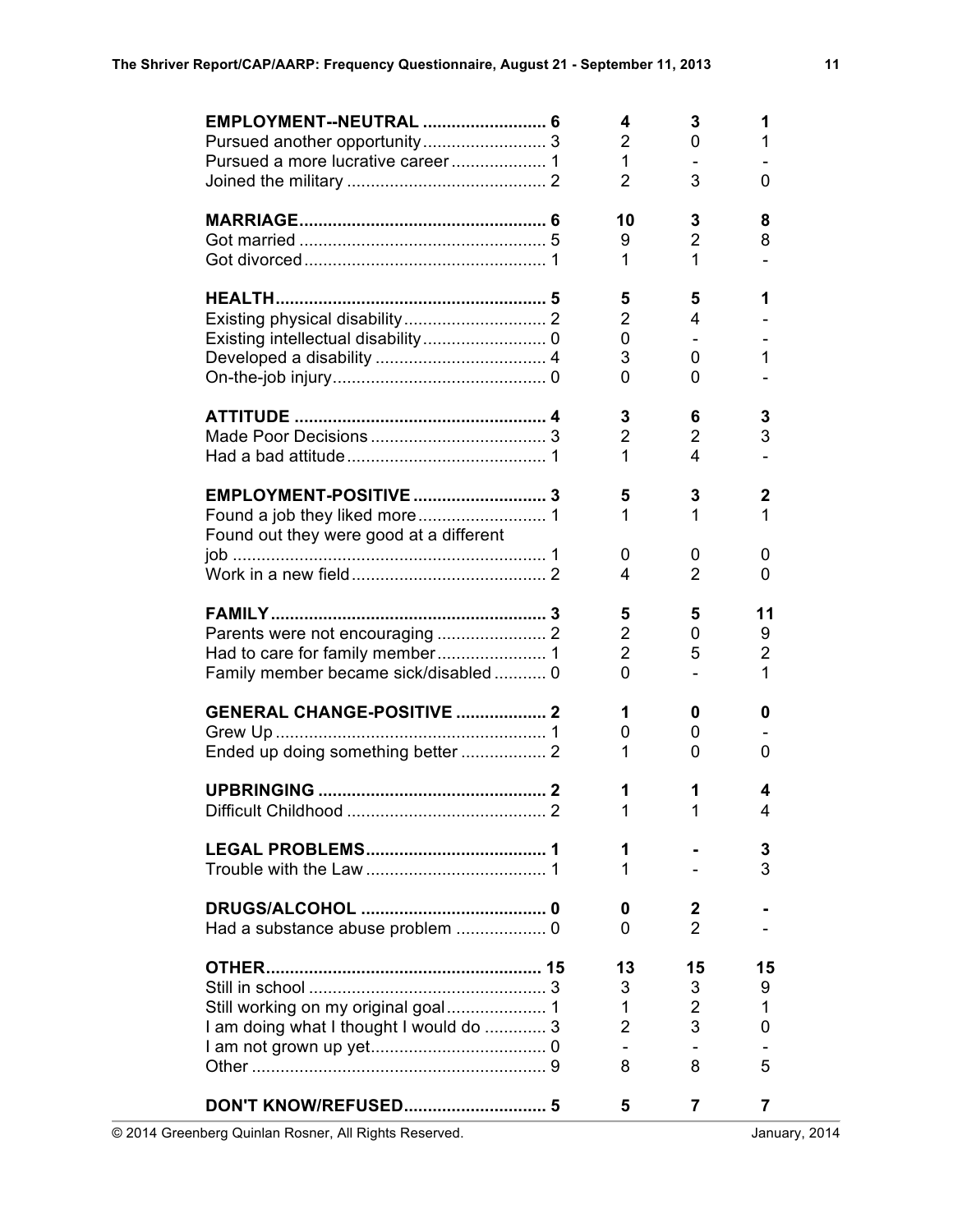| Pursued a more lucrative career 1                                              | 4<br>2<br>$\mathbf{1}$<br>$\overline{2}$               | 3<br>0<br>3                         | 1<br>1<br>0                         |
|--------------------------------------------------------------------------------|--------------------------------------------------------|-------------------------------------|-------------------------------------|
|                                                                                | 10<br>9<br>1                                           | 3<br>2<br>1                         | 8<br>8                              |
|                                                                                | 5<br>$\overline{2}$<br>0<br>3<br>0                     | 5<br>4<br>0<br>0                    | 1<br>1                              |
|                                                                                | 3<br>$\overline{2}$<br>1                               | 6<br>$\overline{2}$<br>4            | 3<br>3                              |
| Found out they were good at a different                                        | 5<br>1<br>0                                            | 3<br>1<br>0                         | 2<br>1<br>0                         |
| Family member became sick/disabled  0                                          | 4<br>5<br>$\overline{2}$<br>$\overline{2}$<br>$\Omega$ | 2<br>5<br>0<br>5                    | 0<br>11<br>9<br>$\overline{2}$<br>1 |
| <b>GENERAL CHANGE-POSITIVE  2</b>                                              | 1<br>0<br>1                                            | 0<br>0<br>0                         | 0<br>0                              |
|                                                                                | 1<br>1                                                 | 1<br>1                              | 4<br>4                              |
|                                                                                | 1<br>1                                                 |                                     | 3<br>3                              |
| Had a substance abuse problem  0                                               | 0<br>0                                                 | 2<br>$\overline{2}$                 |                                     |
| Still working on my original goal 1<br>I am doing what I thought I would do  3 | 13<br>3<br>1<br>$\overline{2}$<br>8                    | 15<br>3<br>$\overline{2}$<br>3<br>8 | 15<br>9<br>1<br>0<br>5              |
|                                                                                | 5                                                      | 7                                   | 7                                   |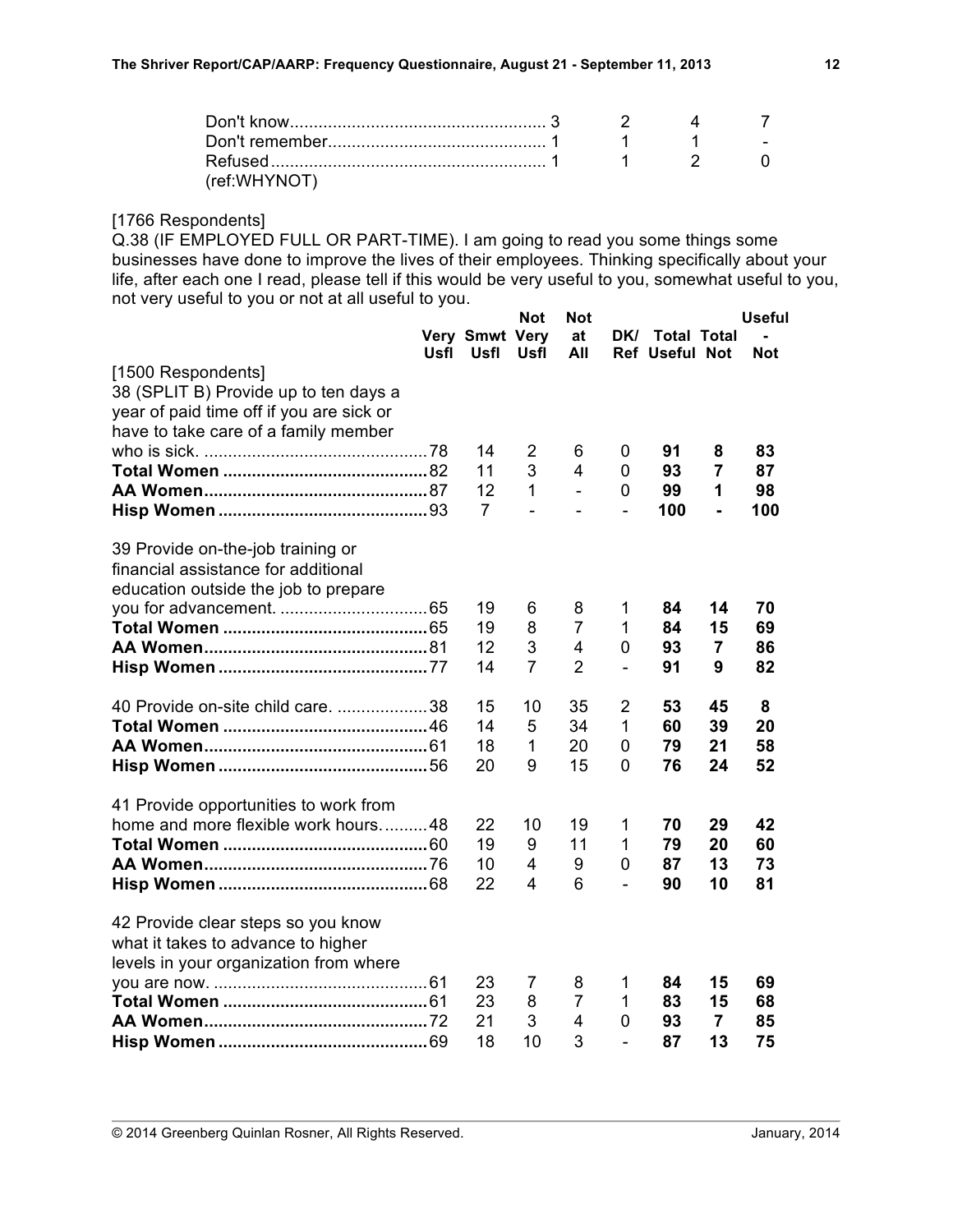|              | $\begin{array}{ccc} & 1 & \cdot & 2 \end{array}$ |  |
|--------------|--------------------------------------------------|--|
| (ref:WHYNOT) |                                                  |  |

#### [1766 Respondents]

Q.38 (IF EMPLOYED FULL OR PART-TIME). I am going to read you some things some businesses have done to improve the lives of their employees. Thinking specifically about your life, after each one I read, please tell if this would be very useful to you, somewhat useful to you, not very useful to you or not at all useful to you.

|                                          |             |                        | <b>Not</b>     | <b>Not</b>     |                |                                             |                | <b>Useful</b> |
|------------------------------------------|-------------|------------------------|----------------|----------------|----------------|---------------------------------------------|----------------|---------------|
|                                          | <b>Usfl</b> | Very Smwt Very<br>Usfl | Usfl           | at<br>All      | DK/            | <b>Total Total</b><br><b>Ref Useful Not</b> |                | <b>Not</b>    |
| [1500 Respondents]                       |             |                        |                |                |                |                                             |                |               |
| 38 (SPLIT B) Provide up to ten days a    |             |                        |                |                |                |                                             |                |               |
| year of paid time off if you are sick or |             |                        |                |                |                |                                             |                |               |
| have to take care of a family member     |             |                        |                |                |                |                                             |                |               |
|                                          |             | 14                     | $\overline{2}$ | 6              | 0              | 91                                          | 8              | 83            |
|                                          |             | 11                     | 3              | 4              | 0              | 93                                          | $\overline{7}$ | 87            |
|                                          |             | 12                     | 1              | $\overline{a}$ | 0              | 99                                          | 1              | 98            |
|                                          |             | $\overline{7}$         | $\overline{a}$ | $\overline{a}$ | $\blacksquare$ | 100                                         | ä,             | 100           |
|                                          |             |                        |                |                |                |                                             |                |               |
| 39 Provide on-the-job training or        |             |                        |                |                |                |                                             |                |               |
| financial assistance for additional      |             |                        |                |                |                |                                             |                |               |
| education outside the job to prepare     |             |                        |                |                |                |                                             |                |               |
|                                          |             | 19                     | 6              | 8              | 1              | 84                                          | 14             | 70            |
|                                          |             | 19                     | 8              | $\overline{7}$ | 1              | 84                                          | 15             | 69            |
|                                          |             | 12                     | 3              | 4              | 0              | 93                                          | $\overline{7}$ | 86            |
|                                          |             | 14                     | $\overline{7}$ | $\overline{2}$ | $\blacksquare$ | 91                                          | 9              | 82            |
| 40 Provide on-site child care. 38        |             | 15                     | 10             | 35             | 2              | 53                                          | 45             | 8             |
|                                          |             | 14                     | 5              | 34             | 1              | 60                                          | 39             | 20            |
|                                          |             | 18                     | 1              | 20             | $\overline{0}$ | 79                                          | 21             | 58            |
|                                          |             | 20                     | 9              | 15             | 0              | 76                                          | 24             | 52            |
| 41 Provide opportunities to work from    |             |                        |                |                |                |                                             |                |               |
| home and more flexible work hours48      |             | 22                     | 10             | 19             | 1              | 70                                          | 29             | 42            |
|                                          |             | 19                     | 9              | 11             | 1              | 79                                          | 20             | 60            |
|                                          |             | 10                     | 4              | 9              | 0              | 87                                          | 13             | 73            |
|                                          |             | 22                     | 4              | 6              | $\overline{a}$ | 90                                          | 10             | 81            |
| 42 Provide clear steps so you know       |             |                        |                |                |                |                                             |                |               |
| what it takes to advance to higher       |             |                        |                |                |                |                                             |                |               |
| levels in your organization from where   |             |                        |                |                |                |                                             |                |               |
|                                          |             | 23                     | 7              | 8              | 1              | 84                                          | 15             | 69            |
|                                          |             | 23                     | 8              | $\overline{7}$ | $\mathbf 1$    | 83                                          | 15             | 68            |
|                                          |             | 21                     | 3              | 4              | 0              | 93                                          | $\overline{7}$ | 85            |
|                                          |             | 18                     | 10             | 3              |                | 87                                          | 13             | 75            |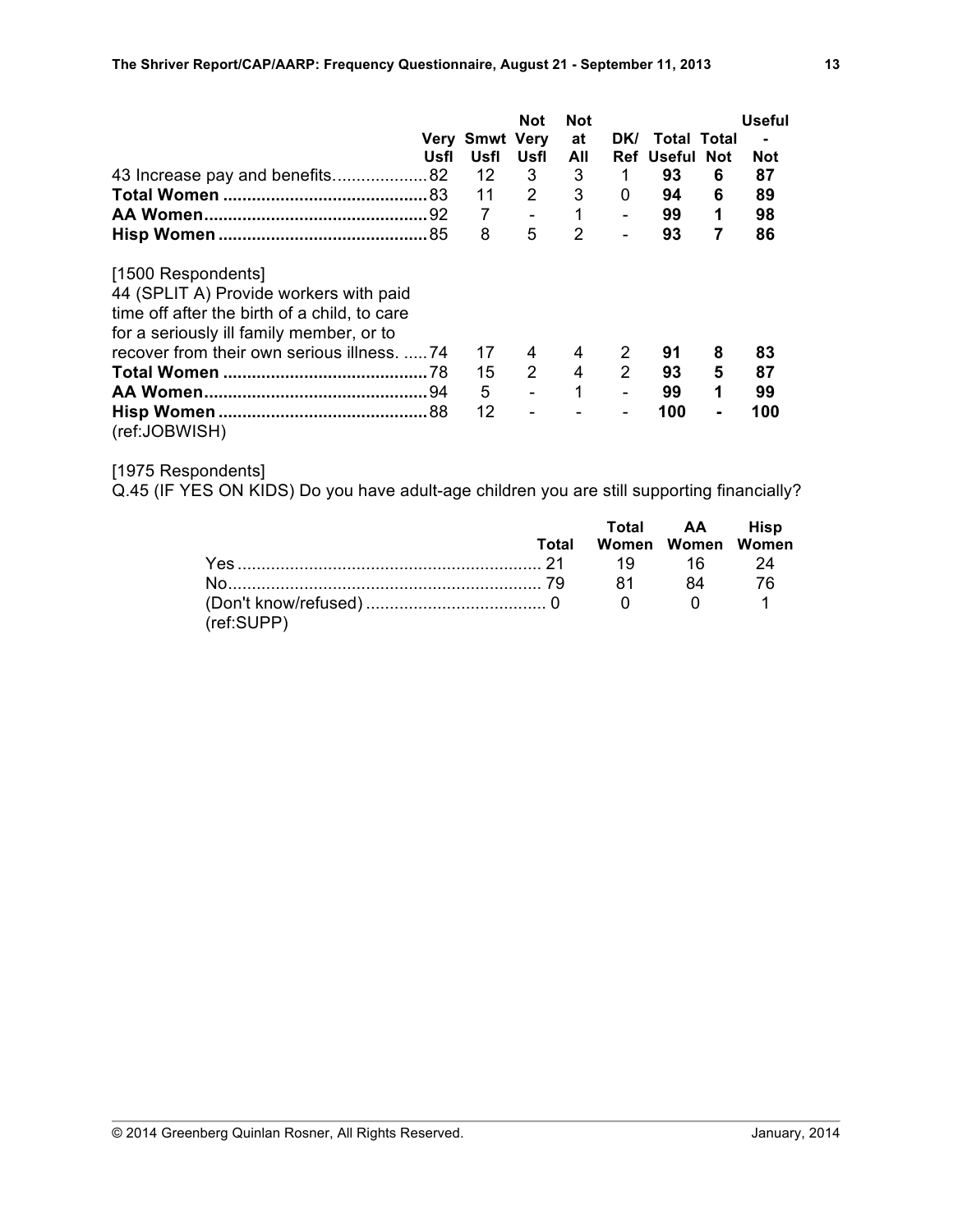|                                                                                                                                                          | Usfl | <b>Very Smwt Very</b><br>Usfl | <b>Not</b><br>Usfl | <b>Not</b><br>at<br>All | DK/<br>Ref     | Total Total<br>Useful | <b>Not</b> | <b>Useful</b><br>$\blacksquare$<br><b>Not</b> |
|----------------------------------------------------------------------------------------------------------------------------------------------------------|------|-------------------------------|--------------------|-------------------------|----------------|-----------------------|------------|-----------------------------------------------|
|                                                                                                                                                          |      |                               |                    | 3                       |                | 93                    |            |                                               |
| 43 Increase pay and benefits82                                                                                                                           |      | 12                            | 3                  |                         | 1              |                       | 6          | 87                                            |
|                                                                                                                                                          |      | 11                            | 2                  | 3                       | 0              | 94                    | 6          | 89                                            |
|                                                                                                                                                          |      | 7                             |                    | 1                       |                | 99                    | 1          | 98                                            |
|                                                                                                                                                          |      | 8                             | 5                  | 2                       | ÷,             | 93                    | 7          | 86                                            |
| [1500 Respondents]<br>44 (SPLIT A) Provide workers with paid<br>time off after the birth of a child, to care<br>for a seriously ill family member, or to |      |                               |                    |                         |                |                       |            |                                               |
| recover from their own serious illness. 74                                                                                                               |      | 17                            | 4                  | 4                       | 2              | 91                    | 8          | 83                                            |
|                                                                                                                                                          | .78  | 15                            | $\overline{2}$     | 4                       | $\overline{2}$ | 93                    | 5          | 87                                            |
|                                                                                                                                                          |      | 5                             | $\overline{a}$     | 1                       | $\overline{a}$ | 99                    | 1          | 99                                            |
| (ref:JOBWISH)                                                                                                                                            |      | 12                            |                    |                         | $\blacksquare$ | 100                   |            | 100                                           |

# [1975 Respondents]

Q.45 (IF YES ON KIDS) Do you have adult-age children you are still supporting financially?

|            |       |                   | Total AA Hisp |      |
|------------|-------|-------------------|---------------|------|
|            | Total | Women Women Women |               |      |
|            |       |                   |               |      |
|            |       |                   |               | - 76 |
|            |       |                   |               |      |
| (ref:SUPP) |       |                   |               |      |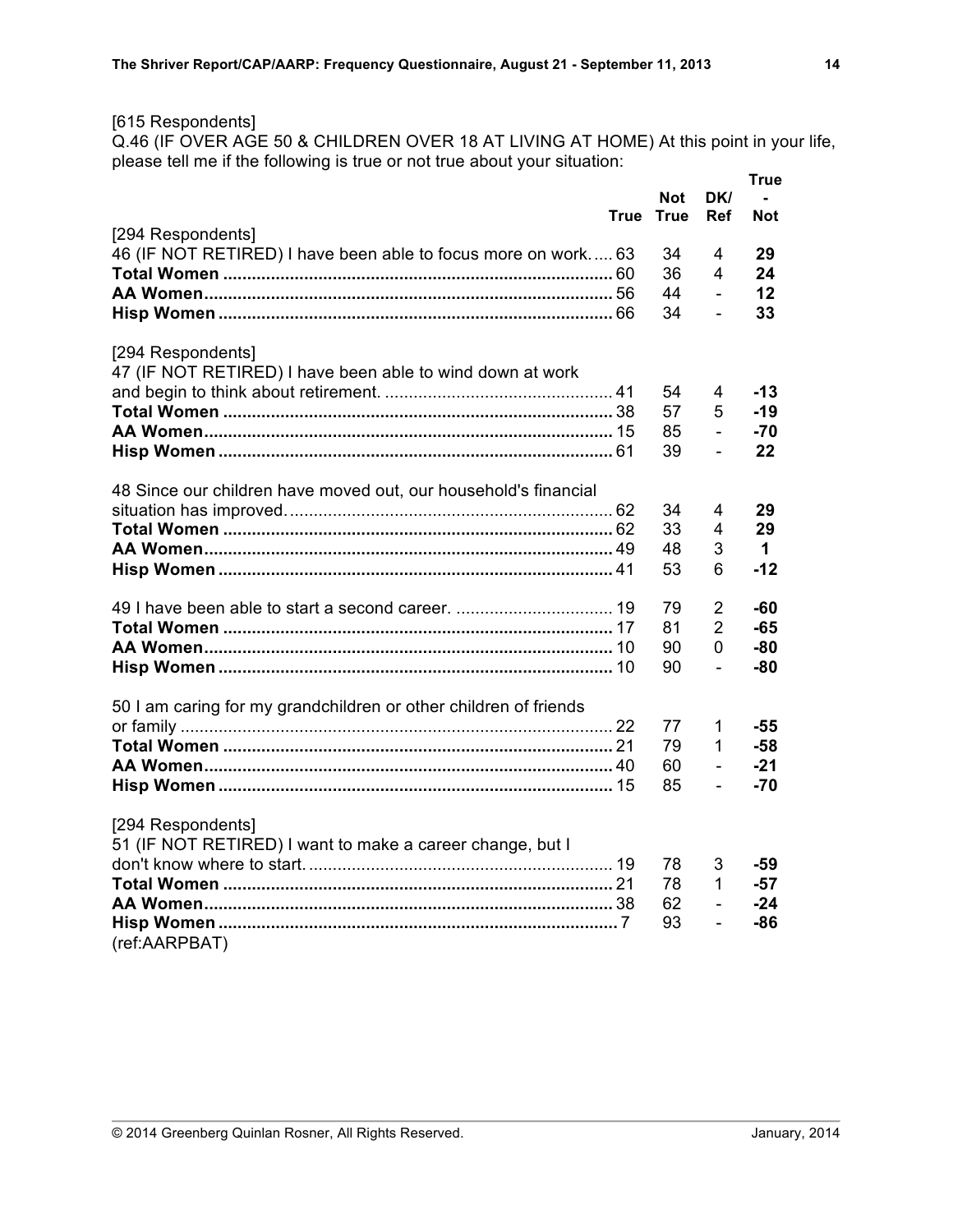## [615 Respondents]

Q.46 (IF OVER AGE 50 & CHILDREN OVER 18 AT LIVING AT HOME) At this point in your life, please tell me if the following is true or not true about your situation:

|                                                                  |      |                           |                   | True       |
|------------------------------------------------------------------|------|---------------------------|-------------------|------------|
|                                                                  | True | <b>Not</b><br><b>True</b> | DK/<br><b>Ref</b> | <b>Not</b> |
| [294 Respondents]                                                |      |                           |                   |            |
| 46 (IF NOT RETIRED) I have been able to focus more on work 63    |      | 34                        | 4                 | 29         |
|                                                                  |      | 36                        | 4                 | 24         |
|                                                                  |      | 44                        | $\overline{a}$    | 12         |
|                                                                  |      | 34                        | $\overline{a}$    | 33         |
| [294 Respondents]                                                |      |                           |                   |            |
| 47 (IF NOT RETIRED) I have been able to wind down at work        |      |                           |                   |            |
|                                                                  |      | 54                        | 4                 | $-13$      |
|                                                                  |      | 57                        | 5                 | $-19$      |
|                                                                  |      | 85                        | $\overline{a}$    | $-70$      |
|                                                                  |      | 39                        | $\overline{a}$    | 22         |
|                                                                  |      |                           |                   |            |
| 48 Since our children have moved out, our household's financial  |      |                           |                   |            |
|                                                                  |      | 34                        | 4                 | 29         |
|                                                                  |      | 33                        | 4                 | 29         |
|                                                                  |      | 48                        | 3                 | 1.         |
|                                                                  |      | 53                        | 6                 | $-12$      |
|                                                                  |      |                           |                   |            |
|                                                                  |      | 79                        | $\overline{2}$    | -60        |
|                                                                  |      | 81                        | $\overline{2}$    | -65        |
|                                                                  |      | 90                        | $\overline{0}$    | $-80$      |
|                                                                  |      | 90                        | $\overline{a}$    | $-80$      |
|                                                                  |      |                           |                   |            |
| 50 I am caring for my grandchildren or other children of friends |      |                           |                   |            |
|                                                                  |      | 77                        | 1                 | -55        |
|                                                                  |      | 79                        | 1                 | $-58$      |
|                                                                  |      | 60                        | $\overline{a}$    | $-21$      |
|                                                                  |      | 85                        | $\overline{a}$    | -70        |
|                                                                  |      |                           |                   |            |
| [294 Respondents]                                                |      |                           |                   |            |
| 51 (IF NOT RETIRED) I want to make a career change, but I        |      |                           |                   |            |
|                                                                  |      | 78                        | 3                 | -59        |
|                                                                  |      | 78                        | 1                 | -57        |
|                                                                  |      | 62                        | L,                | $-24$      |
|                                                                  |      | 93                        | L,                | -86        |
| (ref:AARPBAT)                                                    |      |                           |                   |            |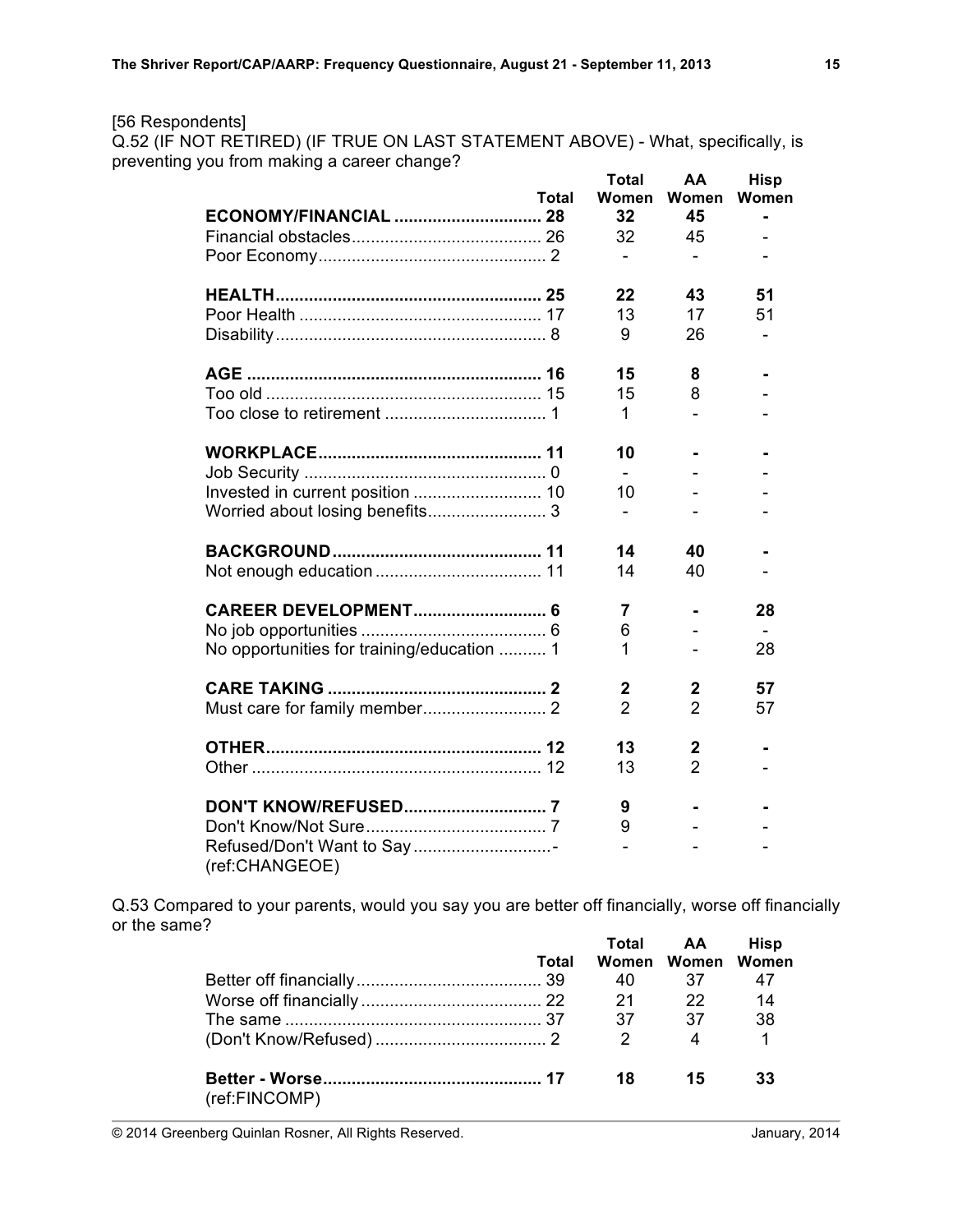## [56 Respondents]

Q.52 (IF NOT RETIRED) (IF TRUE ON LAST STATEMENT ABOVE) - What, specifically, is preventing you from making a career change?

| Total                                       | <b>Total</b><br>Women    | AA<br>Women    | <b>Hisp</b><br>Women |
|---------------------------------------------|--------------------------|----------------|----------------------|
|                                             | 32                       | 45             |                      |
|                                             | 32                       | 45             |                      |
|                                             | $\overline{\phantom{0}}$ |                |                      |
|                                             | 22                       | 43             | 51                   |
|                                             | 13                       | 17             | 51                   |
|                                             | 9                        | 26             |                      |
|                                             | 15                       | 8              |                      |
|                                             | 15                       | 8              |                      |
|                                             | 1                        |                |                      |
|                                             | 10                       |                |                      |
|                                             |                          |                |                      |
|                                             | 10                       |                |                      |
|                                             | $\overline{\phantom{0}}$ |                |                      |
|                                             | 14                       | 40             |                      |
|                                             | 14                       | 40             |                      |
|                                             | 7                        |                | 28                   |
|                                             | 6                        |                |                      |
| No opportunities for training/education  1  | 1                        |                | 28                   |
|                                             | $\overline{2}$           | $\mathbf 2$    | 57                   |
|                                             | $\overline{2}$           | $\overline{2}$ | 57                   |
|                                             | 13                       | $\mathbf 2$    |                      |
|                                             | 13                       | $\overline{2}$ |                      |
|                                             | 9                        |                |                      |
|                                             | 9                        |                |                      |
| Refused/Don't Want to Say<br>(ref:CHANGEOE) |                          |                |                      |

Q.53 Compared to your parents, would you say you are better off financially, worse off financially or the same?

|               |       |               | Total AA          | <b>Hisp</b> |
|---------------|-------|---------------|-------------------|-------------|
|               | Total |               | Women Women Women |             |
|               |       | 40            | 37                | 47          |
|               |       |               | 22.               | 14          |
|               |       | - 37          | 37                | -38         |
|               |       | $\mathcal{P}$ | $\overline{4}$    |             |
| (ref:FINCOMP) |       | 18            | - 15              | 33          |

© 2014 Greenberg Quinlan Rosner, All Rights Reserved. January, 2014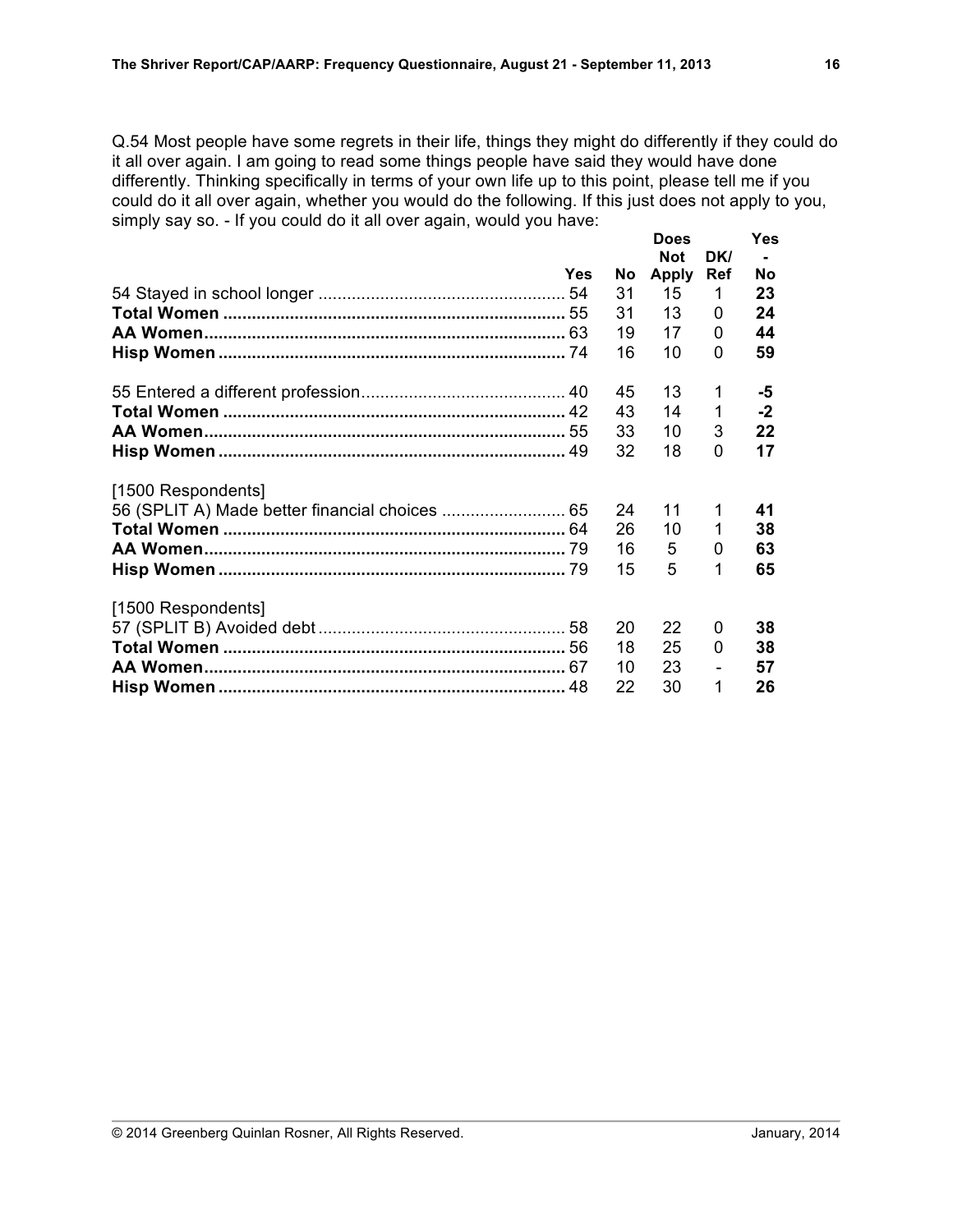Q.54 Most people have some regrets in their life, things they might do differently if they could do it all over again. I am going to read some things people have said they would have done differently. Thinking specifically in terms of your own life up to this point, please tell me if you could do it all over again, whether you would do the following. If this just does not apply to you, simply say so. - If you could do it all over again, would you have:

|                    |     |    | <b>Does</b><br><b>Not</b> | DK/            | <b>Yes</b> |
|--------------------|-----|----|---------------------------|----------------|------------|
|                    | Yes | No | <b>Apply</b>              | <b>Ref</b>     | Nο         |
|                    |     | 31 | 15                        | 1              | 23         |
|                    |     | 31 | 13                        | 0              | 24         |
|                    |     | 19 | 17                        | 0              | 44         |
|                    |     | 16 | 10                        | 0              | 59         |
|                    |     | 45 | 13                        | 1              | -5         |
|                    |     | 43 | 14                        | 1              | $-2$       |
|                    |     | 33 | 10                        | 3              | 22         |
|                    |     | 32 | 18                        | 0              | 17         |
| [1500 Respondents] |     |    |                           |                |            |
|                    |     | 24 | 11                        | 1              | 41         |
|                    |     | 26 | 10                        | 1              | 38         |
|                    |     | 16 | 5                         | 0              | 63         |
|                    |     | 15 | 5                         | 1              | 65         |
| [1500 Respondents] |     |    |                           |                |            |
|                    |     | 20 | 22                        | 0              | 38         |
|                    |     | 18 | 25                        | 0              | 38         |
|                    |     | 10 | 23                        | $\overline{a}$ | 57         |
|                    |     | 22 | 30                        | 1              | 26         |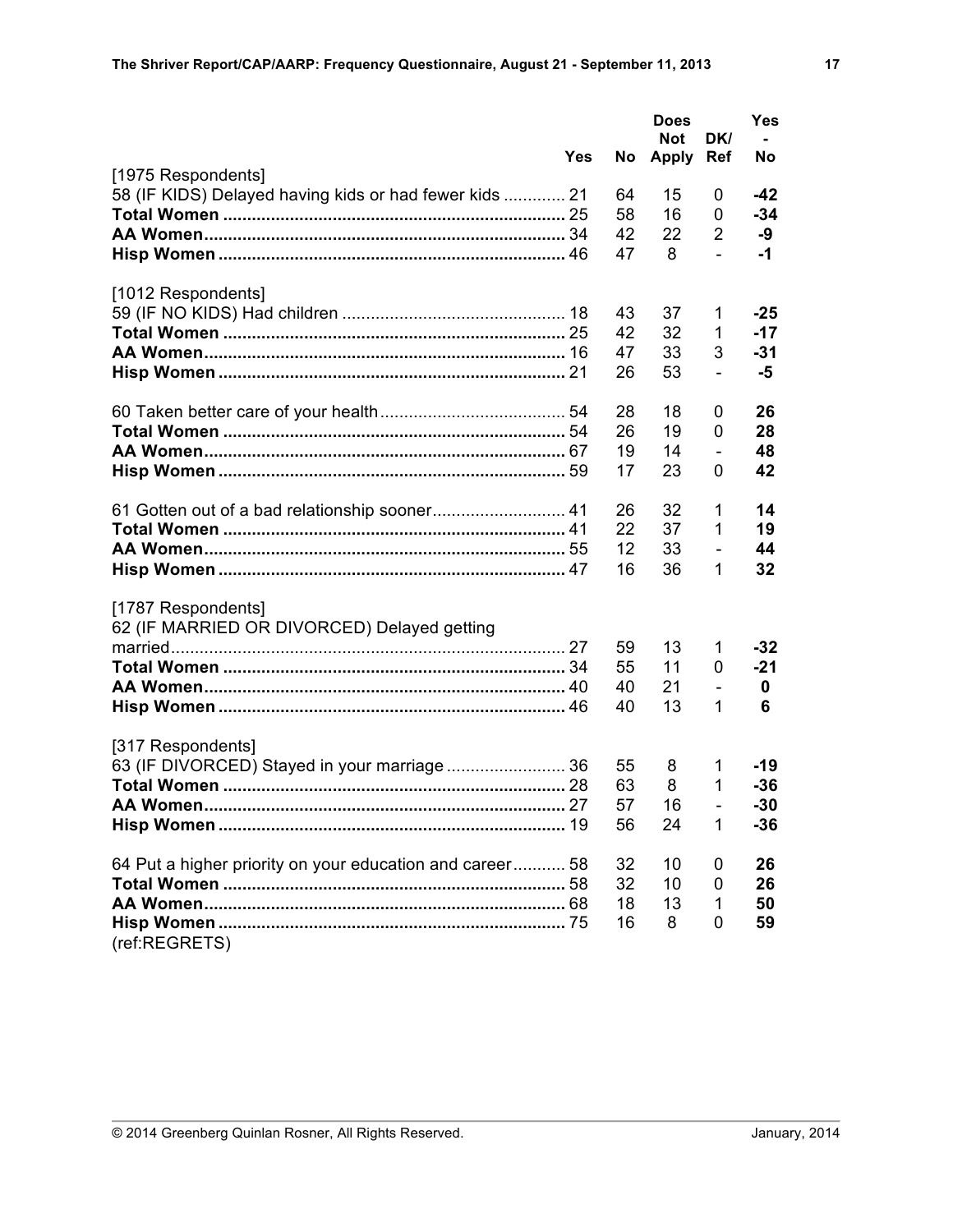|                                                          |            |    | <b>Does</b><br><b>Not</b> | DK/          | <b>Yes</b> |
|----------------------------------------------------------|------------|----|---------------------------|--------------|------------|
| [1975 Respondents]                                       | <b>Yes</b> | No | <b>Apply</b>              | <b>Ref</b>   | No         |
| 58 (IF KIDS) Delayed having kids or had fewer kids  21   |            | 64 | 15                        | 0            | $-42$      |
|                                                          |            | 58 | 16                        | 0            | $-34$      |
|                                                          |            | 42 | 22                        | 2            | -9         |
|                                                          |            | 47 | 8                         | $\mathbf{r}$ | $-1$       |
|                                                          |            |    |                           |              |            |
| [1012 Respondents]                                       |            |    |                           |              |            |
|                                                          |            | 43 | 37                        | 1            | $-25$      |
|                                                          |            | 42 | 32                        | 1            | $-17$      |
|                                                          |            | 47 | 33                        | 3            | $-31$      |
|                                                          |            | 26 | 53                        |              | -5         |
|                                                          |            |    |                           |              |            |
|                                                          |            | 28 | 18                        | 0            | 26         |
|                                                          |            | 26 | 19                        | 0            | 28         |
|                                                          |            | 19 | 14                        |              | 48         |
|                                                          |            | 17 | 23                        | 0            | 42         |
|                                                          |            |    |                           |              |            |
|                                                          |            | 26 | 32                        | 1            | 14         |
|                                                          |            | 22 | 37                        | 1            | 19         |
|                                                          |            | 12 | 33                        |              | 44         |
|                                                          |            | 16 | 36                        | 1            | 32         |
|                                                          |            |    |                           |              |            |
| [1787 Respondents]                                       |            |    |                           |              |            |
| 62 (IF MARRIED OR DIVORCED) Delayed getting              |            |    |                           |              |            |
|                                                          |            | 59 | 13                        | 1            | $-32$      |
|                                                          |            | 55 | 11                        | 0            | $-21$      |
|                                                          |            | 40 | 21                        |              | 0          |
|                                                          |            | 40 | 13                        | 1            | 6          |
|                                                          |            |    |                           |              |            |
| [317 Respondents]                                        |            |    |                           |              |            |
|                                                          |            | 55 | 8                         | 1            | $-19$      |
|                                                          |            | 63 | 8                         | 1            | $-36$      |
| AA Women.                                                |            | 57 | 16                        |              | $-30$      |
|                                                          |            | 56 | 24                        | 1            | $-36$      |
|                                                          |            |    |                           |              |            |
| 64 Put a higher priority on your education and career 58 |            | 32 | 10                        | 0            | 26         |
|                                                          |            | 32 | 10                        | 0            | 26         |
|                                                          |            | 18 | 13                        | 1            | 50         |
| (ref:REGRETS)                                            |            | 16 | 8                         | 0            | 59         |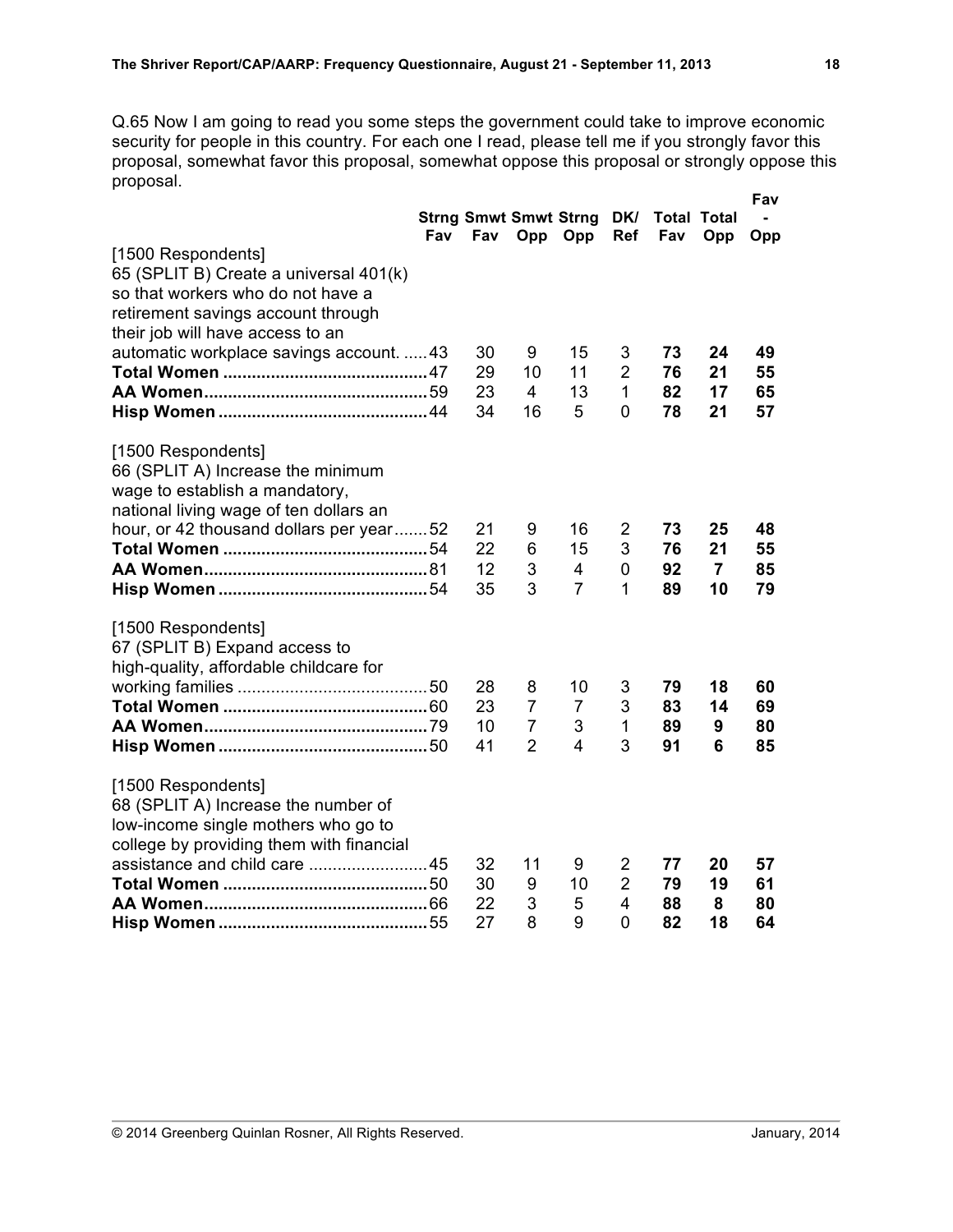Q.65 Now I am going to read you some steps the government could take to improve economic security for people in this country. For each one I read, please tell me if you strongly favor this proposal, somewhat favor this proposal, somewhat oppose this proposal or strongly oppose this proposal. **Fav**

|                                                                                                                                                                                | Fav | <b>Strng Smwt Smwt Strng</b><br>Fav | Opp                                                     | Opp                            | Ref                                        | DK/ Total Total<br>Fav | Opp                        | ı av<br>Opp          |
|--------------------------------------------------------------------------------------------------------------------------------------------------------------------------------|-----|-------------------------------------|---------------------------------------------------------|--------------------------------|--------------------------------------------|------------------------|----------------------------|----------------------|
| [1500 Respondents]<br>65 (SPLIT B) Create a universal 401(k)<br>so that workers who do not have a<br>retirement savings account through<br>their job will have access to an    |     |                                     |                                                         |                                |                                            |                        |                            |                      |
| automatic workplace savings account.  43                                                                                                                                       |     | 30<br>29<br>23                      | 9<br>10<br>4                                            | 15<br>11<br>13                 | 3<br>$\overline{2}$<br>$\mathbf{1}$        | 73<br>76<br>82         | 24<br>21<br>17             | 49<br>55<br>65       |
| [1500 Respondents]<br>66 (SPLIT A) Increase the minimum<br>wage to establish a mandatory,<br>national living wage of ten dollars an<br>hour, or 42 thousand dollars per year52 |     | 34<br>21                            | 16<br>9                                                 | 5<br>16                        | 0<br>2                                     | 78<br>73               | 21<br>25                   | 57<br>48             |
|                                                                                                                                                                                |     | 22<br>12<br>35                      | 6<br>3<br>3                                             | 15<br>4<br>$\overline{7}$      | 3<br>0<br>1                                | 76<br>92<br>89         | 21<br>$\overline{7}$<br>10 | 55<br>85<br>79       |
| [1500 Respondents]<br>67 (SPLIT B) Expand access to<br>high-quality, affordable childcare for                                                                                  |     | 28<br>23<br>10<br>41                | 8<br>$\overline{7}$<br>$\overline{7}$<br>$\overline{2}$ | 10<br>$\overline{7}$<br>3<br>4 | 3<br>3<br>$\mathbf 1$<br>3                 | 79<br>83<br>89<br>91   | 18<br>14<br>9<br>6         | 60<br>69<br>80<br>85 |
| [1500 Respondents]<br>68 (SPLIT A) Increase the number of<br>low-income single mothers who go to<br>college by providing them with financial                                   |     | 32<br>30<br>22<br>27                | 11<br>9<br>3<br>8                                       | 9<br>10<br>5<br>9              | 2<br>$\overline{2}$<br>$\overline{4}$<br>0 | 77<br>79<br>88<br>82   | 20<br>19<br>8<br>18        | 57<br>61<br>80<br>64 |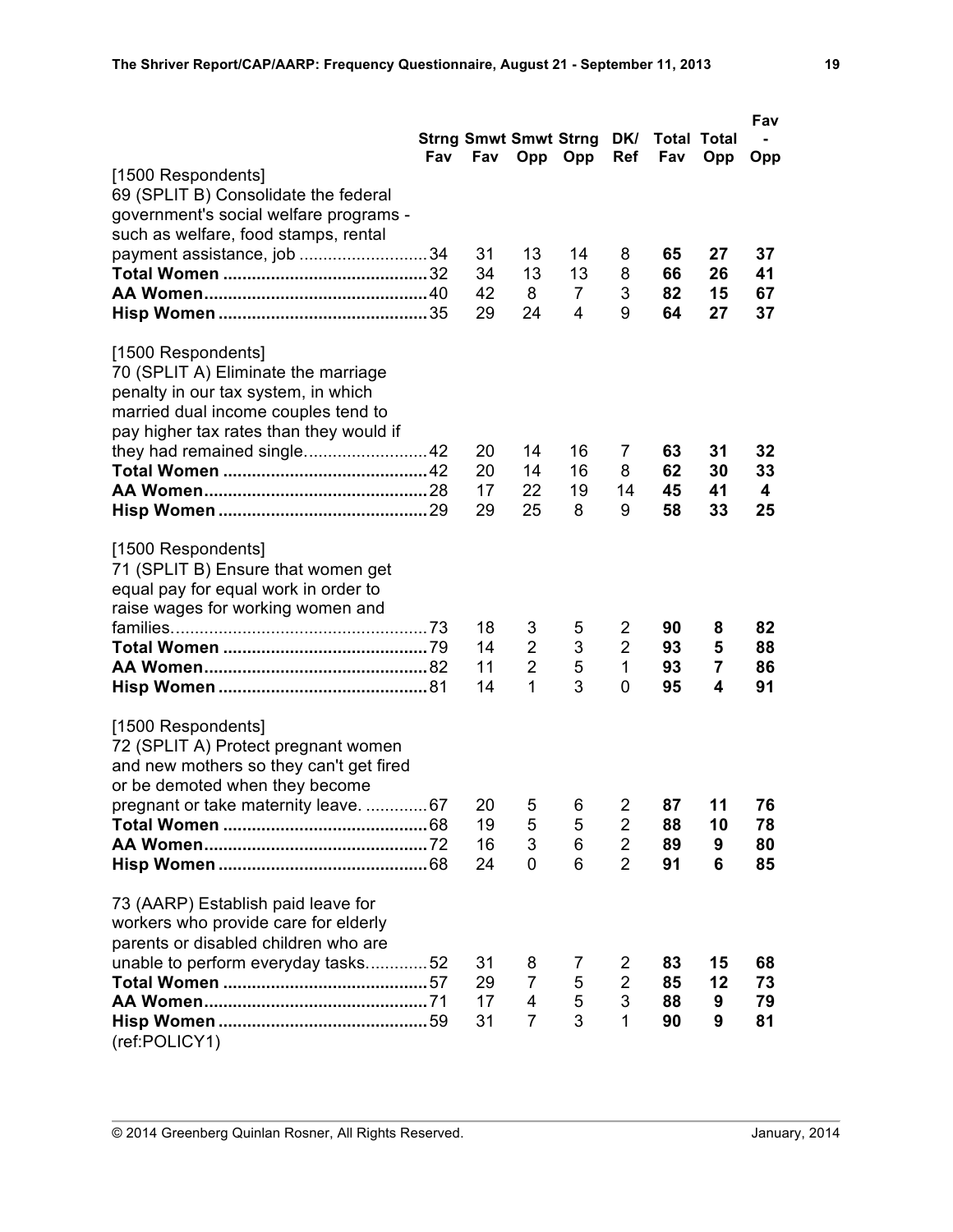|                                         |     |          |                              |                     |                     |             |          | Fav      |
|-----------------------------------------|-----|----------|------------------------------|---------------------|---------------------|-------------|----------|----------|
|                                         |     |          | <b>Strng Smwt Smwt Strng</b> |                     | DK/                 | Total Total |          |          |
| [1500 Respondents]                      | Fav |          | Fav Opp Opp                  |                     | <b>Ref</b>          | Fav         | Opp      | Opp      |
| 69 (SPLIT B) Consolidate the federal    |     |          |                              |                     |                     |             |          |          |
| government's social welfare programs -  |     |          |                              |                     |                     |             |          |          |
| such as welfare, food stamps, rental    |     |          |                              |                     |                     |             |          |          |
| payment assistance, job 34              |     | 31       | 13                           | 14                  | 8                   | 65          | 27       | 37       |
|                                         |     | 34       | 13                           | 13                  | 8                   | 66          | 26       | 41       |
|                                         |     | 42<br>29 | 8<br>24                      | $\overline{7}$<br>4 | 3<br>9              | 82<br>64    | 15<br>27 | 67<br>37 |
|                                         |     |          |                              |                     |                     |             |          |          |
| [1500 Respondents]                      |     |          |                              |                     |                     |             |          |          |
| 70 (SPLIT A) Eliminate the marriage     |     |          |                              |                     |                     |             |          |          |
| penalty in our tax system, in which     |     |          |                              |                     |                     |             |          |          |
| married dual income couples tend to     |     |          |                              |                     |                     |             |          |          |
| pay higher tax rates than they would if |     | 20       | 14                           | 16                  | 7                   | 63          | 31       | 32       |
|                                         |     | 20       | 14                           | 16                  | 8                   | 62          | 30       | 33       |
|                                         |     | 17       | 22                           | 19                  | 14                  | 45          | 41       | 4        |
|                                         |     | 29       | 25                           | 8                   | 9                   | 58          | 33       | 25       |
| [1500 Respondents]                      |     |          |                              |                     |                     |             |          |          |
| 71 (SPLIT B) Ensure that women get      |     |          |                              |                     |                     |             |          |          |
| equal pay for equal work in order to    |     |          |                              |                     |                     |             |          |          |
| raise wages for working women and       |     |          |                              |                     |                     |             |          |          |
|                                         |     | 18<br>14 | 3<br>$\overline{2}$          | 5<br>3              | 2<br>$\overline{2}$ | 90<br>93    | 8<br>5   | 82<br>88 |
|                                         |     | 11       | $\overline{2}$               | 5                   | 1                   | 93          | 7        | 86       |
|                                         |     | 14       | $\mathbf{1}$                 | 3                   | 0                   | 95          | 4        | 91       |
| [1500 Respondents]                      |     |          |                              |                     |                     |             |          |          |
| 72 (SPLIT A) Protect pregnant women     |     |          |                              |                     |                     |             |          |          |
| and new mothers so they can't get fired |     |          |                              |                     |                     |             |          |          |
| or be demoted when they become          |     |          |                              |                     |                     |             |          |          |
| pregnant or take maternity leave. 67    |     | 20       | 5                            | 6                   | $\overline{2}$      | 87          | 11       | 76       |
|                                         |     | 19<br>16 | 5<br>3                       | 5<br>6              | 2<br>2              | 88<br>89    | 10<br>9  | 78<br>80 |
|                                         |     | 24       | 0                            | 6                   | $\overline{2}$      | 91          | 6        | 85       |
| 73 (AARP) Establish paid leave for      |     |          |                              |                     |                     |             |          |          |
| workers who provide care for elderly    |     |          |                              |                     |                     |             |          |          |
| parents or disabled children who are    |     |          |                              |                     |                     |             |          |          |
| unable to perform everyday tasks52      |     | 31       | 8                            | 7                   | 2                   | 83          | 15       | 68       |
|                                         |     | 29       | $\overline{7}$               | 5                   | $\overline{2}$      | 85          | 12       | 73       |
|                                         |     | 17       | 4                            | 5                   | 3                   | 88          | 9        | 79       |
| (ref:POLICY1)                           |     | 31       | $\overline{7}$               | 3                   | 1                   | 90          | 9        | 81       |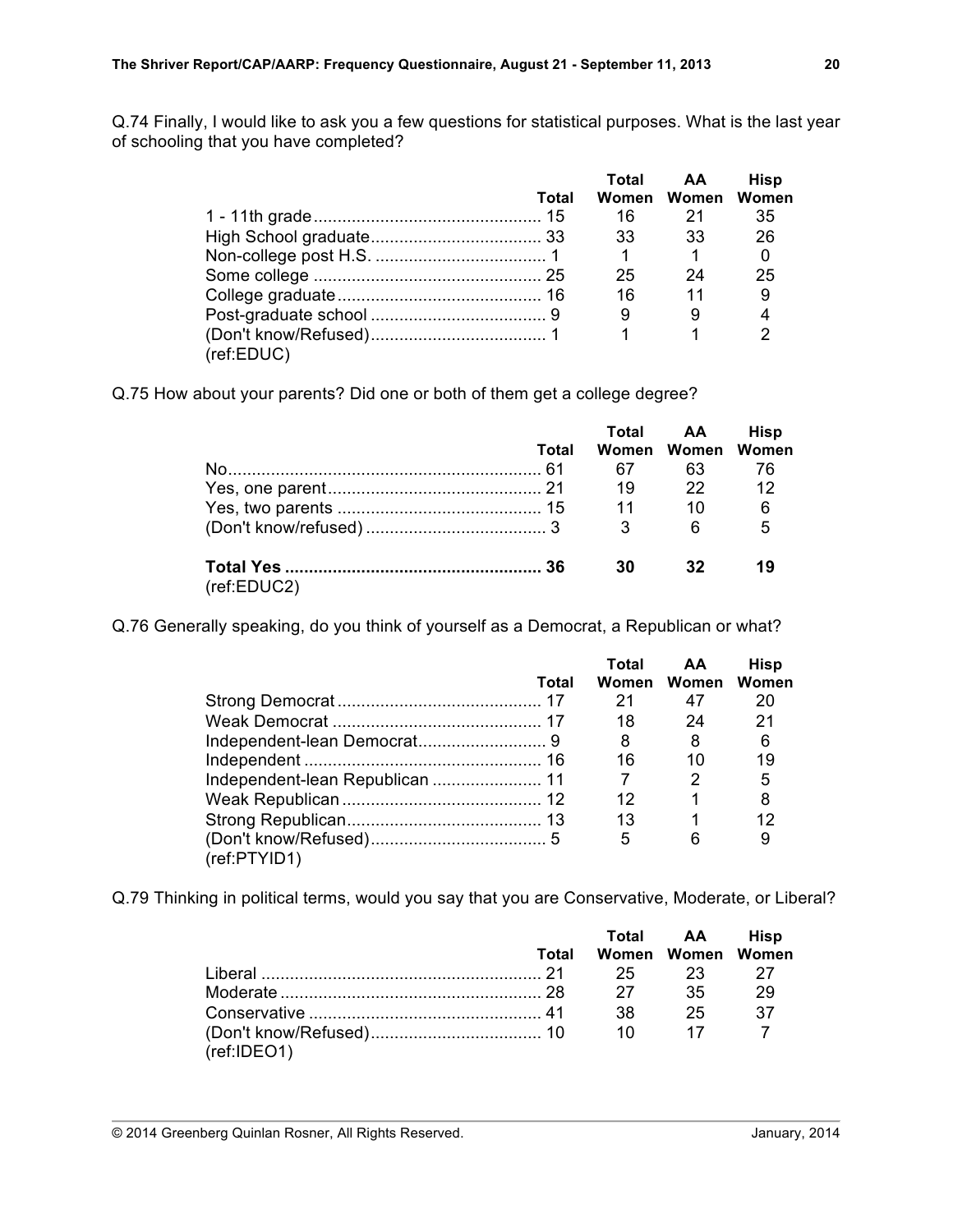Q.74 Finally, I would like to ask you a few questions for statistical purposes. What is the last year of schooling that you have completed?

|            |       | Total | AA.               | <b>Hisp</b> |
|------------|-------|-------|-------------------|-------------|
|            | Total |       | Women Women Women |             |
|            |       | 16    | 21                | 35          |
|            |       | -33   | 33                | 26          |
|            |       |       |                   |             |
|            |       | 25    | 24                | 25          |
|            |       | 16    | $\overline{11}$   | 9           |
|            |       | 9     | 9                 | 4           |
|            |       |       | 1                 |             |
| (ref:EDUC) |       |       |                   |             |

Q.75 How about your parents? Did one or both of them get a college degree?

|             |       |           | Total AA          | <b>Hisp</b> |
|-------------|-------|-----------|-------------------|-------------|
|             | Total |           | Women Women Women |             |
|             |       | 67        | 63.               | 76          |
|             |       | 19        | $\overline{22}$   | 12          |
|             |       | $\sim$ 11 | 10                | - 6         |
|             |       | 3         | 6                 | - 5         |
| (ref:EDUC2) |       | 30        | 32                | 19          |

Q.76 Generally speaking, do you think of yourself as a Democrat, a Republican or what?

|              |       | Total | AA                | <b>Hisp</b> |
|--------------|-------|-------|-------------------|-------------|
|              | Total |       | Women Women Women |             |
|              |       | 21    | 47                | 20          |
|              |       | 18    | 24                | 21          |
|              |       | 8     | 8                 | 6           |
|              |       | 16    | 10                | 19          |
|              |       |       | 2                 | 5           |
|              |       | 12    |                   | 8           |
|              |       | 13    |                   |             |
|              |       | 5     | 6                 | 9           |
| (ref:PTYID1) |       |       |                   |             |

Q.79 Thinking in political terms, would you say that you are Conservative, Moderate, or Liberal?

|             |       |     | Total AA Hisp     |     |
|-------------|-------|-----|-------------------|-----|
|             | Total |     | Women Women Women |     |
|             |       |     | 25 23             |     |
|             |       | 27  | -35               | -29 |
|             |       | .38 | 25                | 37  |
| (ref:IDEO1) |       | 10  |                   |     |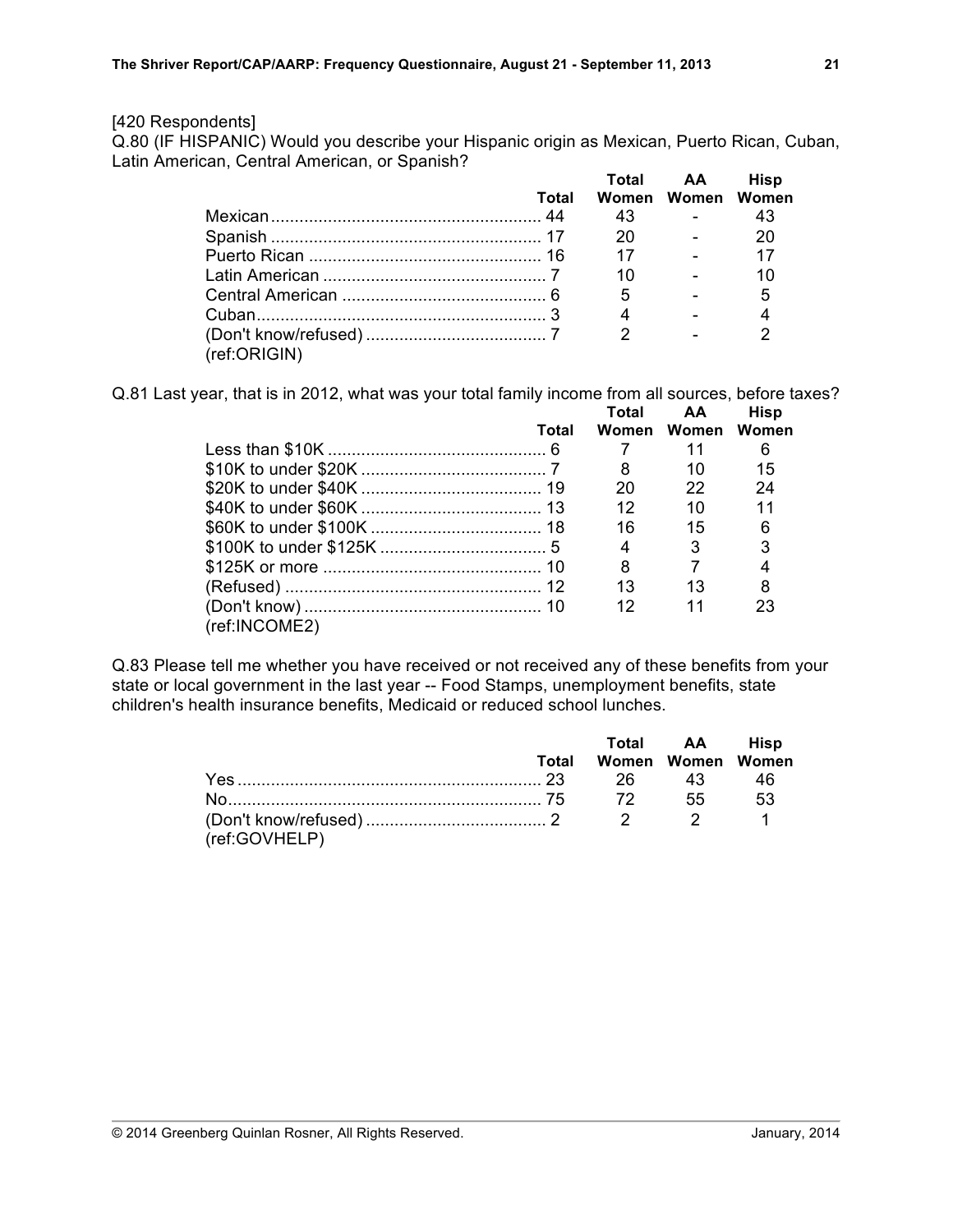#### [420 Respondents]

Q.80 (IF HISPANIC) Would you describe your Hispanic origin as Mexican, Puerto Rican, Cuban, Latin American, Central American, or Spanish? **Total AA Hisp**

|              | Total |                | Total AA<br>Women Women Women  | <b>HISD</b>     |
|--------------|-------|----------------|--------------------------------|-----------------|
|              |       | 43             | and the state of the           | 43              |
|              |       | 20             | and the state of the           | 20              |
|              |       |                | 17 -                           | 17              |
|              |       | 10             | <b>Contract Contract</b>       | 10              |
|              |       | $-5$           | <b>Contract Contract</b>       | $5\overline{)}$ |
|              |       | $\overline{4}$ | <b>Contract Contract State</b> |                 |
|              |       | $\mathcal{P}$  |                                | ົ               |
| (ref:ORIGIN) |       |                |                                |                 |

Q.81 Last year, that is in 2012, what was your total family income from all sources, before taxes?

|               |       | Total | AA.               | Hisp |  |
|---------------|-------|-------|-------------------|------|--|
|               | Total |       | Women Women Women |      |  |
|               |       |       | 11                | 6    |  |
|               |       | 8     | 10                | 15   |  |
|               |       | 20    | 22                | 24   |  |
|               |       | 12    | 10                | 11   |  |
|               |       | 16    | 15                | 6    |  |
|               |       | 4     | 3                 | 3    |  |
|               |       | 8     |                   |      |  |
|               |       | 13    | 13                | 8    |  |
|               |       | 12    | 11                | 23   |  |
| (ref:INCOME2) |       |       |                   |      |  |

Q.83 Please tell me whether you have received or not received any of these benefits from your state or local government in the last year -- Food Stamps, unemployment benefits, state children's health insurance benefits, Medicaid or reduced school lunches.

|               |                         | Total AA Hisp |  |
|---------------|-------------------------|---------------|--|
|               | Total Women Women Women |               |  |
|               |                         |               |  |
|               |                         |               |  |
|               |                         |               |  |
| (ref:GOVHELP) |                         |               |  |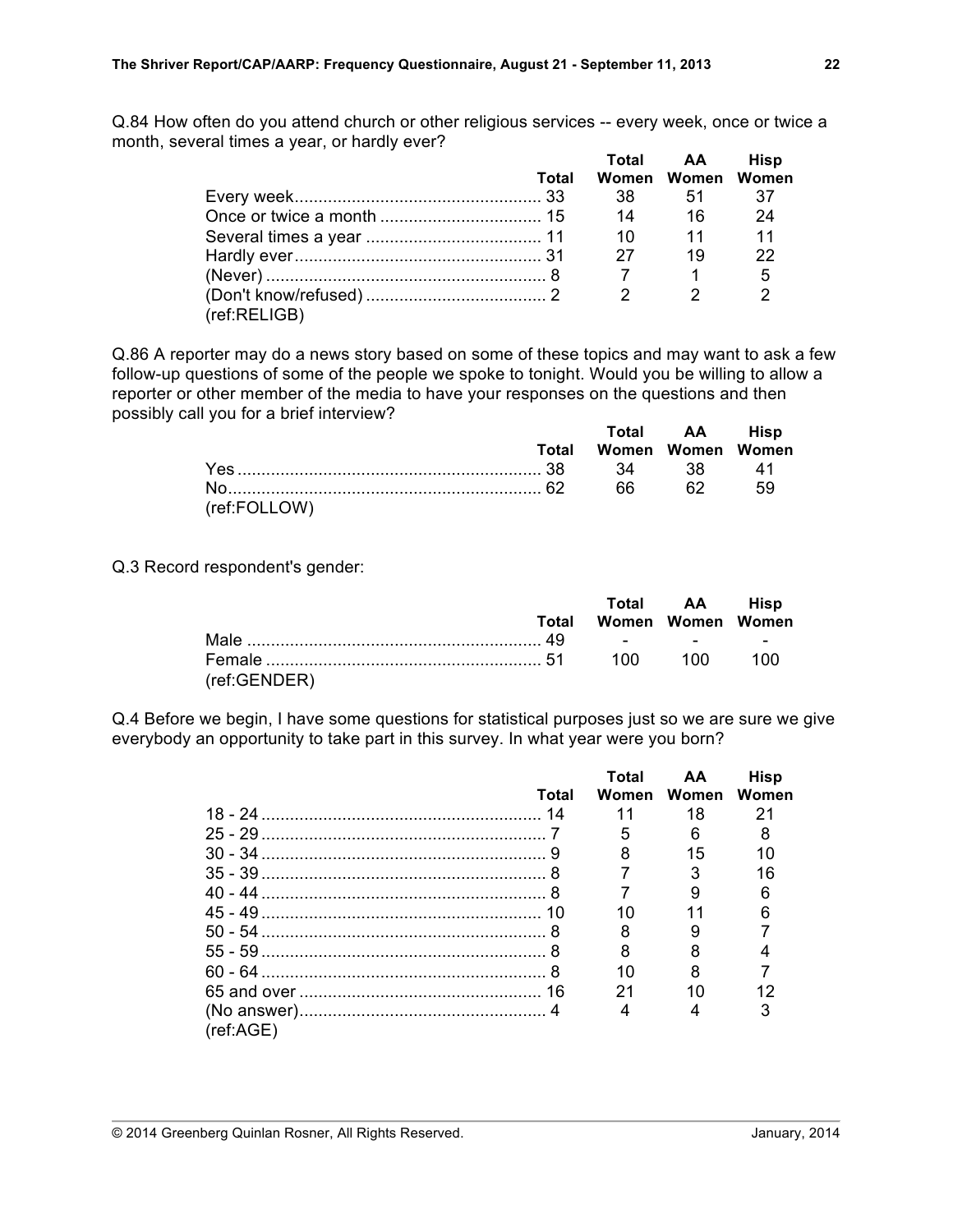Q.84 How often do you attend church or other religious services -- every week, once or twice a month, several times a year, or hardly ever?

|              |       |                | Total AA          | <b>Hisp</b>   |
|--------------|-------|----------------|-------------------|---------------|
|              | Total |                | Women Women Women |               |
|              |       | 38 —           | -51               | - 37          |
|              |       |                | 14 16             | 24            |
|              |       |                |                   | 11            |
|              |       | 27             | 19                | 22            |
|              |       |                |                   | - 5           |
|              |       | $\overline{2}$ |                   | $\mathcal{P}$ |
| (ref:RELIGB) |       |                |                   |               |

Q.86 A reporter may do a news story based on some of these topics and may want to ask a few follow-up questions of some of the people we spoke to tonight. Would you be willing to allow a reporter or other member of the media to have your responses on the questions and then possibly call you for a brief interview? **Total AA Hisp**

|              |       |                   | $10(a)$ $AA$ $115b$ |           |
|--------------|-------|-------------------|---------------------|-----------|
|              | Total | Women Women Women |                     |           |
|              |       |                   |                     | <b>41</b> |
|              |       | 66 L              | 62 I                | 59        |
| (ref:FOLLOW) |       |                   |                     |           |

Q.3 Record respondent's gender:

|              |       |                   | Total AA Hisp |  |
|--------------|-------|-------------------|---------------|--|
|              | Total | Women Women Women |               |  |
|              |       |                   |               |  |
|              |       |                   |               |  |
| (ref:GENDER) |       |                   |               |  |

Q.4 Before we begin, I have some questions for statistical purposes just so we are sure we give everybody an opportunity to take part in this survey. In what year were you born?

|           |       | Total | AA.               | <b>Hisp</b> |
|-----------|-------|-------|-------------------|-------------|
|           | Total |       | Women Women Women |             |
|           |       | 11    | 18.               | 21          |
|           |       |       | 6                 |             |
|           |       |       | 15                | 10          |
|           |       |       |                   | 16          |
|           |       |       |                   |             |
|           |       |       |                   |             |
|           |       |       |                   |             |
|           |       |       |                   |             |
|           |       |       |                   |             |
|           |       | 21    | 10                |             |
|           |       |       |                   |             |
| (ref:AGE) |       |       |                   |             |